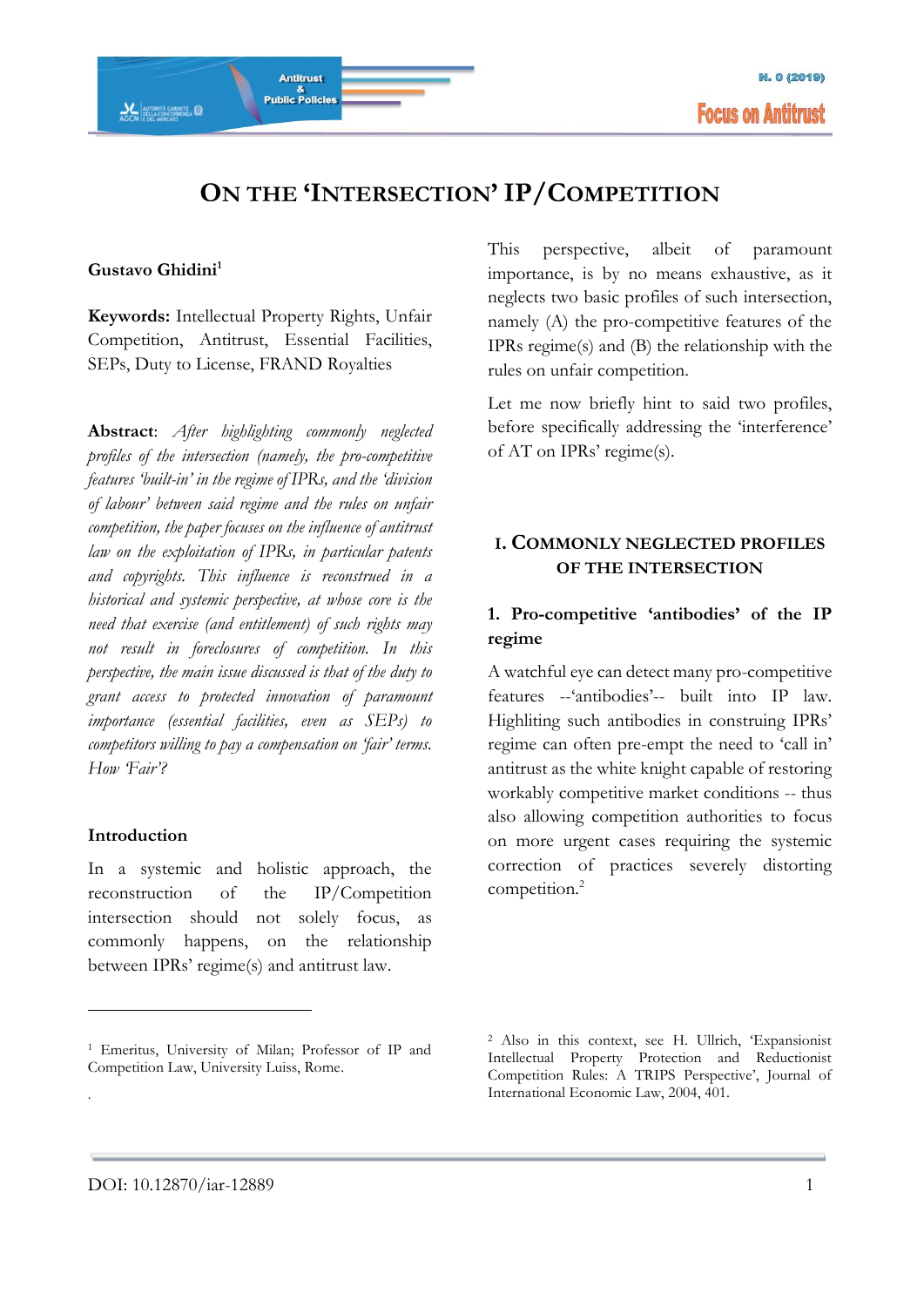# **ON THE 'INTERSECTION' IP/COMPETITION**

#### **Gustavo Ghidini<sup>1</sup>**

ACCH DELLA CONCORRENZA

**Keywords:** Intellectual Property Rights, Unfair Competition, Antitrust, Essential Facilities, SEPs, Duty to License, FRAND Royalties

Antitrust

&<br>Public Policies

**Abstract**: *After highlighting commonly neglected profiles of the intersection (namely, the pro-competitive features 'built-in' in the regime of IPRs, and the 'division of labour' between said regime and the rules on unfair competition, the paper focuses on the influence of antitrust law on the exploitation of IPRs, in particular patents and copyrights. This influence is reconstrued in a historical and systemic perspective, at whose core is the need that exercise (and entitlement) of such rights may not result in foreclosures of competition. In this perspective, the main issue discussed is that of the duty to grant access to protected innovation of paramount importance (essential facilities, even as SEPs) to competitors willing to pay a compensation on 'fair' terms. How 'Fair'?*

#### **Introduction**

<u>.</u>

.

In a systemic and holistic approach, the reconstruction of the IP/Competition intersection should not solely focus, as commonly happens, on the relationship between IPRs' regime(s) and antitrust law.

This perspective, albeit of paramount importance, is by no means exhaustive, as it neglects two basic profiles of such intersection, namely (A) the pro-competitive features of the IPRs regime(s) and (B) the relationship with the rules on unfair competition.

Let me now briefly hint to said two profiles, before specifically addressing the 'interference' of AT on IPRs' regime(s).

#### **I. COMMONLY NEGLECTED PROFILES OF THE INTERSECTION**

#### **1. Pro-competitive 'antibodies' of the IP regime**

A watchful eye can detect many pro-competitive features --'antibodies'-- built into IP law. Highliting such antibodies in construing IPRs' regime can often pre-empt the need to 'call in' antitrust as the white knight capable of restoring workably competitive market conditions -- thus also allowing competition authorities to focus on more urgent cases requiring the systemic correction of practices severely distorting competition.<sup>2</sup>

<sup>1</sup> Emeritus, University of Milan; Professor of IP and Competition Law, University Luiss, Rome.

<sup>2</sup> Also in this context, see H. Ullrich, 'Expansionist Intellectual Property Protection and Reductionist Competition Rules: A TRIPS Perspective', Journal of International Economic Law, 2004, 401.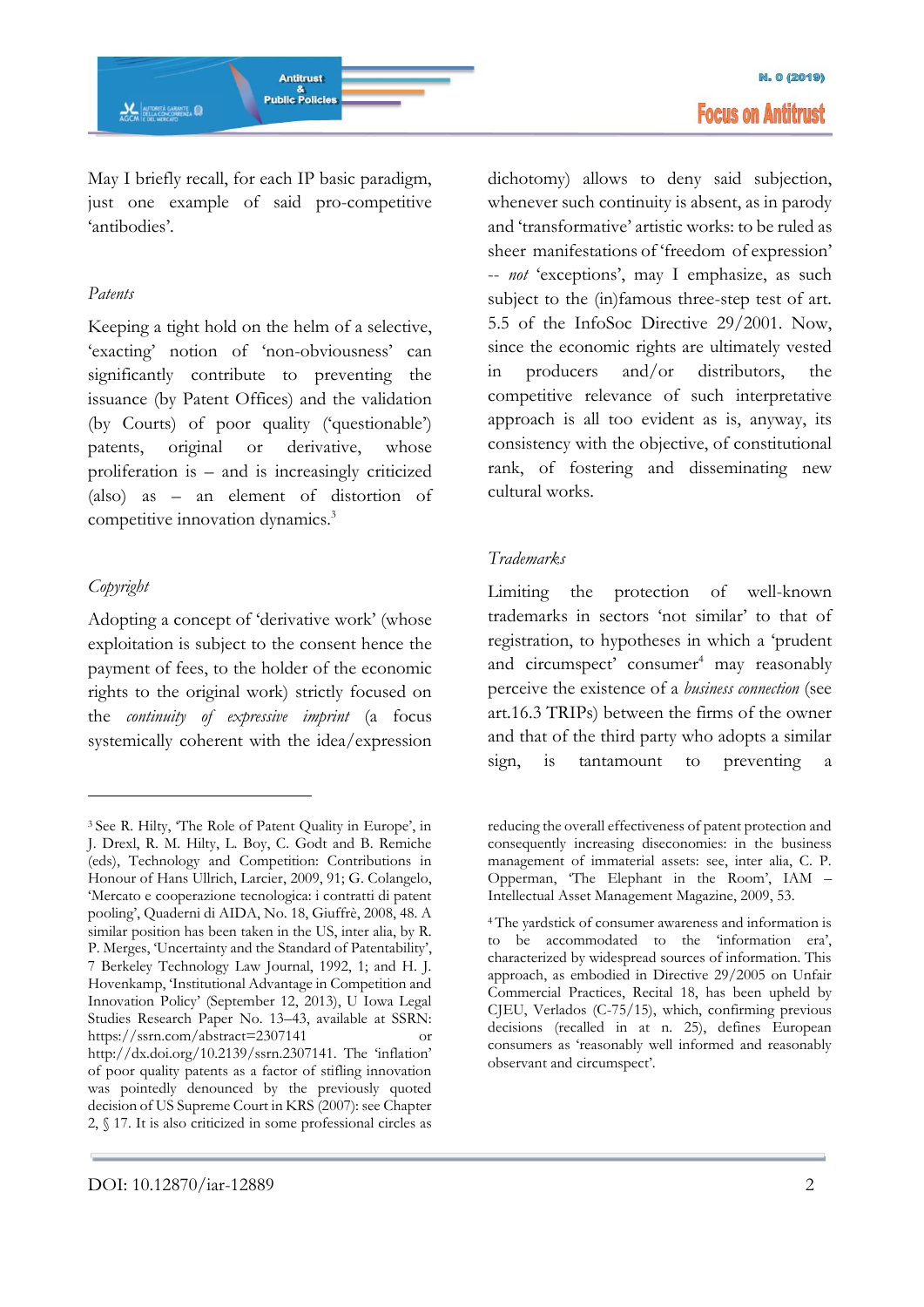May I briefly recall, for each IP basic paradigm, just one example of said pro-competitive 'antibodies'.

#### *Patents*

Keeping a tight hold on the helm of a selective, 'exacting' notion of 'non-obviousness' can significantly contribute to preventing the issuance (by Patent Offices) and the validation (by Courts) of poor quality ('questionable') patents, original or derivative, whose proliferation is – and is increasingly criticized (also) as – an element of distortion of competitive innovation dynamics.<sup>3</sup>

# *Copyright*

<u>.</u>

Adopting a concept of 'derivative work' (whose exploitation is subject to the consent hence the payment of fees, to the holder of the economic rights to the original work) strictly focused on the *continuity of expressive imprint* (a focus systemically coherent with the idea/expression

dichotomy) allows to deny said subjection, whenever such continuity is absent, as in parody and 'transformative' artistic works: to be ruled as sheer manifestations of 'freedom of expression' -- *not* 'exceptions', may I emphasize, as such subject to the (in)famous three-step test of art. 5.5 of the InfoSoc Directive 29/2001. Now, since the economic rights are ultimately vested in producers and/or distributors, the competitive relevance of such interpretative approach is all too evident as is, anyway, its consistency with the objective, of constitutional rank, of fostering and disseminating new cultural works.

### *Trademarks*

Limiting the protection of well-known trademarks in sectors 'not similar' to that of registration, to hypotheses in which a 'prudent and circumspect' consumer<sup>4</sup> may reasonably perceive the existence of a *business connection* (see art.16.3 TRIPs) between the firms of the owner and that of the third party who adopts a similar sign, is tantamount to preventing a

<sup>3</sup> See R. Hilty, 'The Role of Patent Quality in Europe', in J. Drexl, R. M. Hilty, L. Boy, C. Godt and B. Remiche (eds), Technology and Competition: Contributions in Honour of Hans Ullrich, Larcier, 2009, 91; G. Colangelo, 'Mercato e cooperazione tecnologica: i contratti di patent pooling', Quaderni di AIDA, No. 18, Giuffrè, 2008, 48. A similar position has been taken in the US, inter alia, by R. P. Merges, 'Uncertainty and the Standard of Patentability', 7 Berkeley Technology Law Journal, 1992, 1; and H. J. Hovenkamp, 'Institutional Advantage in Competition and Innovation Policy' (September 12, 2013), U Iowa Legal Studies Research Paper No. 13–43, available at SSRN: https://ssrn.com/abstract=2307141 http://dx.doi.org/10.2139/ssrn.2307141. The 'inflation' of poor quality patents as a factor of stifling innovation was pointedly denounced by the previously quoted decision of US Supreme Court in KRS (2007): see Chapter 2, § 17. It is also criticized in some professional circles as

reducing the overall effectiveness of patent protection and consequently increasing diseconomies: in the business management of immaterial assets: see, inter alia, C. P. Opperman, 'The Elephant in the Room', IAM – Intellectual Asset Management Magazine, 2009, 53.

<sup>4</sup>The yardstick of consumer awareness and information is to be accommodated to the 'information era', characterized by widespread sources of information. This approach, as embodied in Directive 29/2005 on Unfair Commercial Practices, Recital 18, has been upheld by CJEU, Verlados (C-75/15), which, confirming previous decisions (recalled in at n. 25), defines European consumers as 'reasonably well informed and reasonably observant and circumspect'.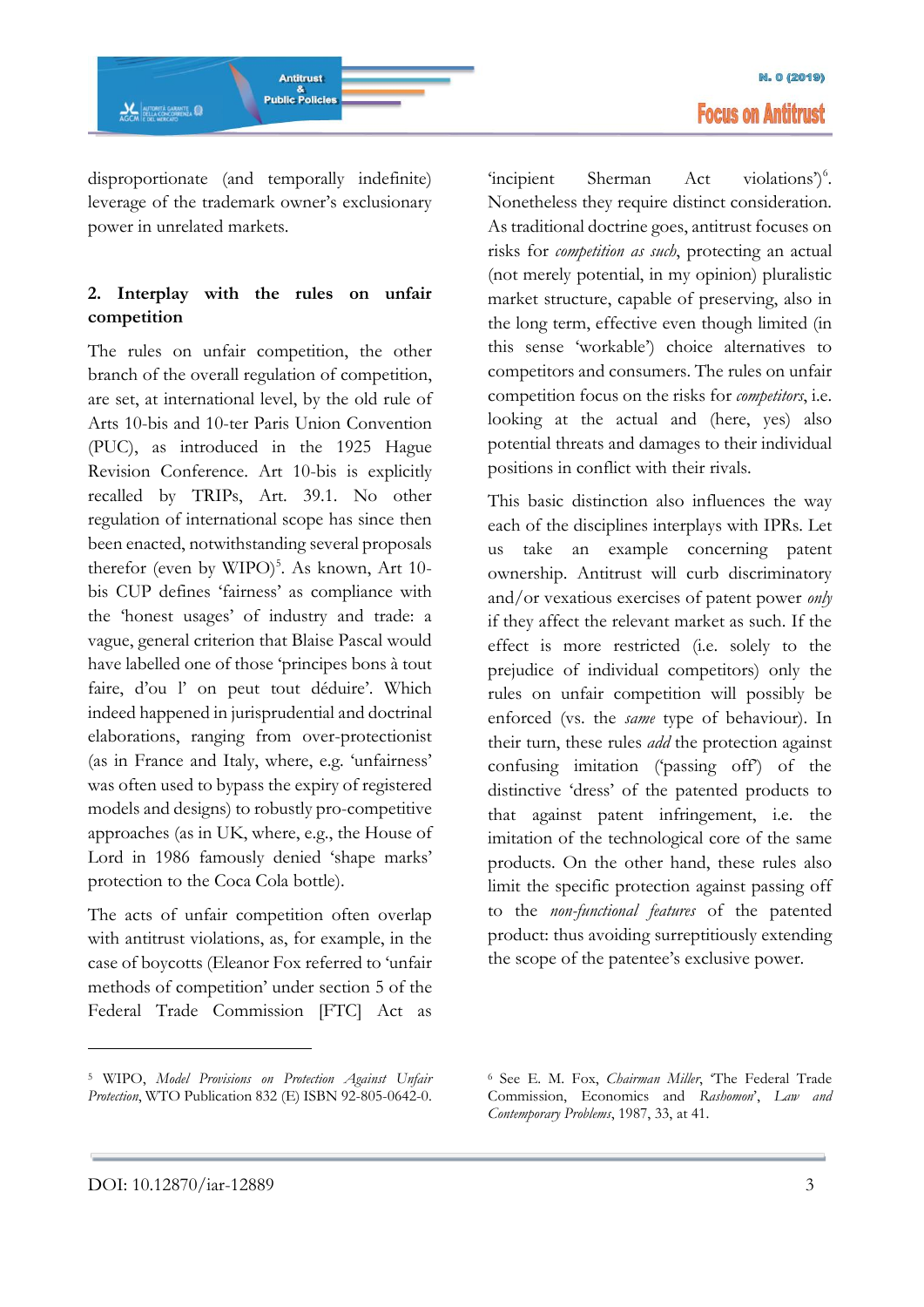

disproportionate (and temporally indefinite) leverage of the trademark owner's exclusionary power in unrelated markets.

# **2. Interplay with the rules on unfair competition**

The rules on unfair competition, the other branch of the overall regulation of competition, are set, at international level, by the old rule of Arts 10-bis and 10-ter Paris Union Convention (PUC), as introduced in the 1925 Hague Revision Conference. Art 10-bis is explicitly recalled by TRIPs, Art. 39.1. No other regulation of international scope has since then been enacted, notwithstanding several proposals therefor (even by WIPO)<sup>5</sup>. As known, Art 10bis CUP defines 'fairness' as compliance with the 'honest usages' of industry and trade: a vague, general criterion that Blaise Pascal would have labelled one of those 'principes bons à tout faire, d'ou l' on peut tout déduire'. Which indeed happened in jurisprudential and doctrinal elaborations, ranging from over-protectionist (as in France and Italy, where, e.g. 'unfairness' was often used to bypass the expiry of registered models and designs) to robustly pro-competitive approaches (as in UK, where, e.g., the House of Lord in 1986 famously denied 'shape marks' protection to the Coca Cola bottle).

The acts of unfair competition often overlap with antitrust violations, as, for example, in the case of boycotts (Eleanor Fox referred to 'unfair methods of competition' under section 5 of the Federal Trade Commission [FTC] Act as

'incipient Sherman Act violations')<sup>6</sup>. Nonetheless they require distinct consideration. As traditional doctrine goes, antitrust focuses on risks for *competition as such*, protecting an actual (not merely potential, in my opinion) pluralistic market structure, capable of preserving, also in the long term, effective even though limited (in this sense 'workable') choice alternatives to competitors and consumers. The rules on unfair competition focus on the risks for *competitors*, i.e. looking at the actual and (here, yes) also potential threats and damages to their individual positions in conflict with their rivals.

This basic distinction also influences the way each of the disciplines interplays with IPRs. Let us take an example concerning patent ownership. Antitrust will curb discriminatory and/or vexatious exercises of patent power *only* if they affect the relevant market as such. If the effect is more restricted (i.e. solely to the prejudice of individual competitors) only the rules on unfair competition will possibly be enforced (vs. the *same* type of behaviour). In their turn, these rules *add* the protection against confusing imitation ('passing off') of the distinctive 'dress' of the patented products to that against patent infringement, i.e. the imitation of the technological core of the same products. On the other hand, these rules also limit the specific protection against passing off to the *non-functional features* of the patented product: thus avoiding surreptitiously extending the scope of the patentee's exclusive power.

<sup>5</sup> WIPO, *Model Provisions on Protection Against Unfair Protection*, WTO Publication 832 (E) ISBN 92-805-0642-0.

<sup>6</sup> See E. M. Fox, *Chairman Miller*, 'The Federal Trade Commission, Economics and *Rashomon*', *Law and Contemporary Problems*, 1987, 33, at 41.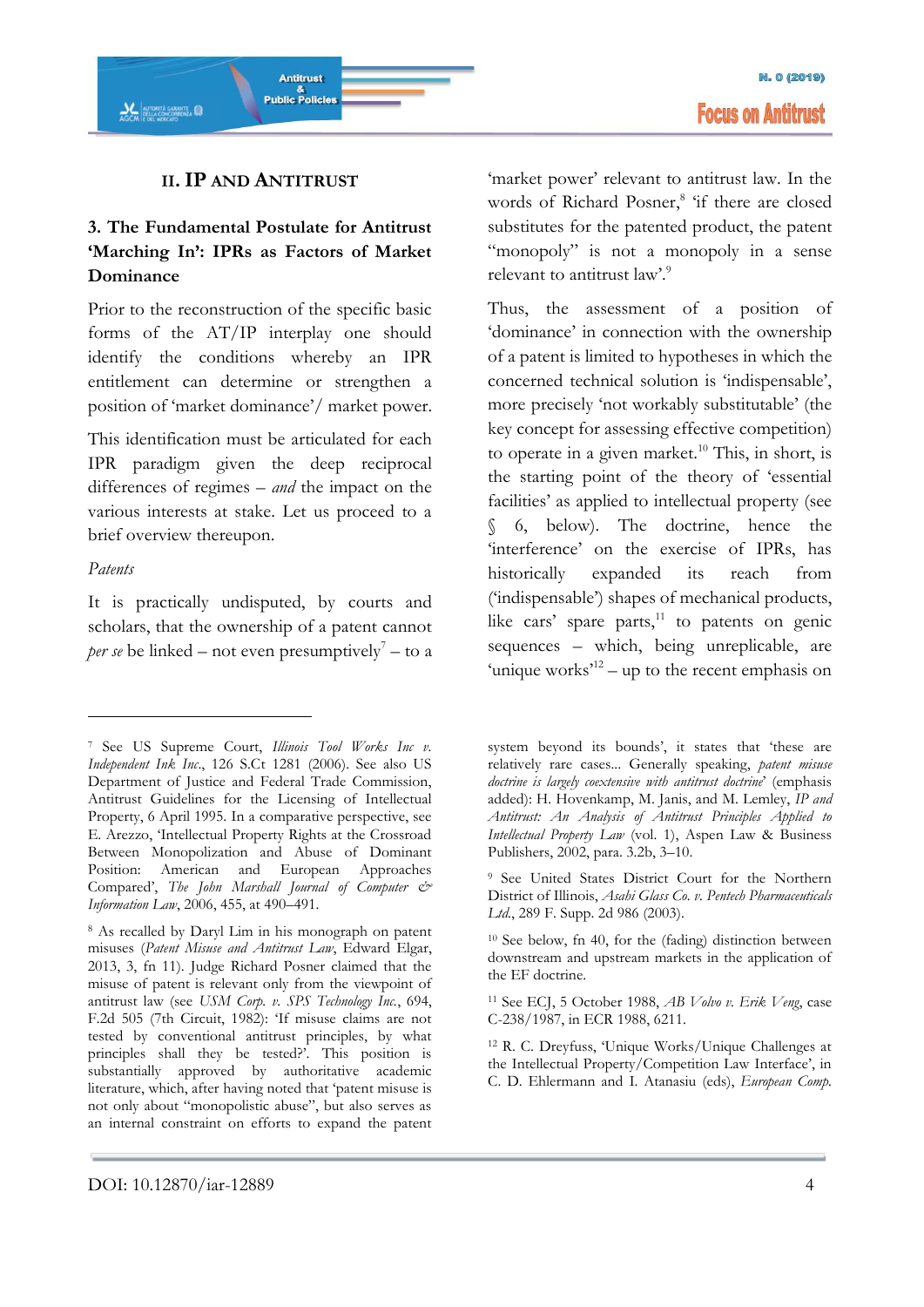

### **II.IP AND ANTITRUST**

# **3. The Fundamental Postulate for Antitrust 'Marching In': IPRs as Factors of Market Dominance**

Prior to the reconstruction of the specific basic forms of the AT/IP interplay one should identify the conditions whereby an IPR entitlement can determine or strengthen a position of 'market dominance'/ market power.

This identification must be articulated for each IPR paradigm given the deep reciprocal differences of regimes – *and* the impact on the various interests at stake. Let us proceed to a brief overview thereupon.

#### *Patents*

-

It is practically undisputed, by courts and scholars, that the ownership of a patent cannot *per se* be linked – not even presumptively<sup>7</sup> – to a 'market power' relevant to antitrust law. In the words of Richard Posner,<sup>8</sup> 'if there are closed substitutes for the patented product, the patent "monopoly" is not a monopoly in a sense relevant to antitrust law'.<sup>9</sup>

Thus, the assessment of a position of 'dominance' in connection with the ownership of a patent is limited to hypotheses in which the concerned technical solution is 'indispensable', more precisely 'not workably substitutable' (the key concept for assessing effective competition) to operate in a given market.<sup>10</sup> This, in short, is the starting point of the theory of 'essential facilities' as applied to intellectual property (see § 6, below). The doctrine, hence the 'interference' on the exercise of IPRs, has historically expanded its reach from ('indispensable') shapes of mechanical products, like cars' spare parts, $^{11}$  to patents on genic sequences – which, being unreplicable, are 'unique works'<sup>12</sup> – up to the recent emphasis on

<sup>7</sup> See US Supreme Court, *Illinois Tool Works Inc v. Independent Ink Inc*., 126 S.Ct 1281 (2006). See also US Department of Justice and Federal Trade Commission, Antitrust Guidelines for the Licensing of Intellectual Property, 6 April 1995. In a comparative perspective, see E. Arezzo, 'Intellectual Property Rights at the Crossroad Between Monopolization and Abuse of Dominant Position: American and European Approaches Compared', *The John Marshall Journal of Computer & Information Law*, 2006, 455, at 490–491.

<sup>8</sup> As recalled by Daryl Lim in his monograph on patent misuses (*Patent Misuse and Antitrust Law*, Edward Elgar, 2013, 3, fn 11). Judge Richard Posner claimed that the misuse of patent is relevant only from the viewpoint of antitrust law (see *USM Corp. v. SPS Technology Inc.*, 694, F.2d 505 (7th Circuit, 1982): 'If misuse claims are not tested by conventional antitrust principles, by what principles shall they be tested?'. This position is substantially approved by authoritative academic literature, which, after having noted that 'patent misuse is not only about "monopolistic abuse", but also serves as an internal constraint on efforts to expand the patent

system beyond its bounds', it states that 'these are relatively rare cases... Generally speaking, *patent misuse doctrine is largely coextensive with antitrust doctrine*' (emphasis added): H. Hovenkamp, M. Janis, and M. Lemley, *IP and Antitrust: An Analysis of Antitrust Principles Applied to Intellectual Property Law* (vol. 1), Aspen Law & Business Publishers, 2002, para. 3.2b, 3–10.

<sup>9</sup> See United States District Court for the Northern District of Illinois, *Asahi Glass Co. v. Pentech Pharmaceuticals*  Ltd., 289 F. Supp. 2d 986 (2003).

<sup>10</sup> See below, fn 40, for the (fading) distinction between downstream and upstream markets in the application of the EF doctrine.

<sup>11</sup> See ECJ, 5 October 1988, *AB Volvo v. Erik Veng*, case C-238/1987, in ECR 1988, 6211.

<sup>12</sup> R. C. Dreyfuss, 'Unique Works/Unique Challenges at the Intellectual Property/Competition Law Interface', in C. D. Ehlermann and I. Atanasiu (eds), *European Comp.*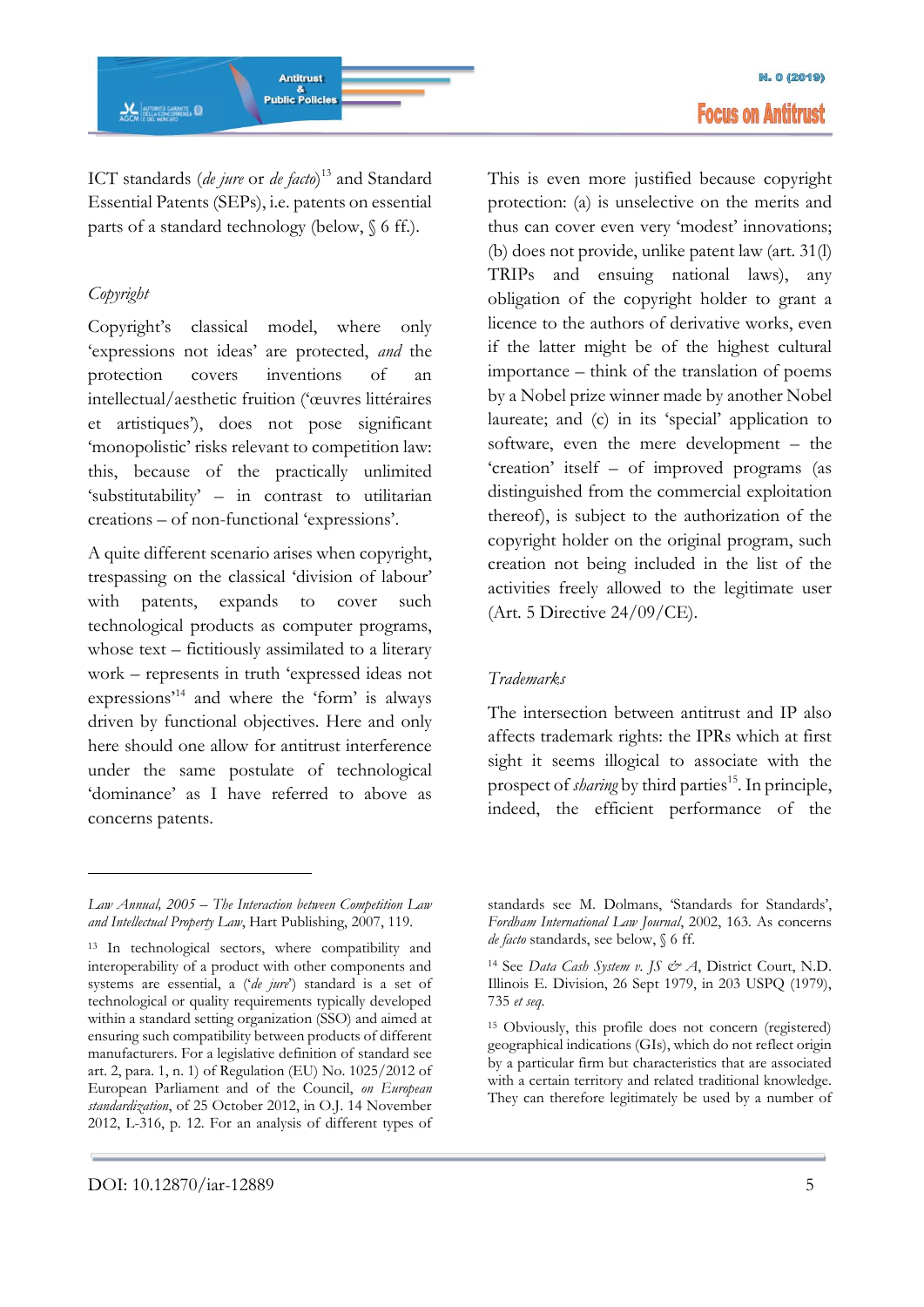ICT standards (*de jure* or *de facto*) <sup>13</sup> and Standard Essential Patents (SEPs), i.e. patents on essential parts of a standard technology (below, § 6 ff.).

# *Copyright*

<u>.</u>

Copyright's classical model, where only 'expressions not ideas' are protected, *and* the protection covers inventions of an intellectual/aesthetic fruition ('œuvres littéraires et artistiques'), does not pose significant 'monopolistic' risks relevant to competition law: this, because of the practically unlimited 'substitutability' – in contrast to utilitarian creations – of non-functional 'expressions'.

A quite different scenario arises when copyright, trespassing on the classical 'division of labour' with patents, expands to cover such technological products as computer programs, whose text – fictitiously assimilated to a literary work – represents in truth 'expressed ideas not expressions'<sup>14</sup> and where the 'form' is always driven by functional objectives. Here and only here should one allow for antitrust interference under the same postulate of technological 'dominance' as I have referred to above as concerns patents.

This is even more justified because copyright protection: (a) is unselective on the merits and thus can cover even very 'modest' innovations; (b) does not provide, unlike patent law (art. 31(l) TRIPs and ensuing national laws), any obligation of the copyright holder to grant a licence to the authors of derivative works, even if the latter might be of the highest cultural importance – think of the translation of poems by a Nobel prize winner made by another Nobel laureate; and (c) in its 'special' application to software, even the mere development – the 'creation' itself – of improved programs (as distinguished from the commercial exploitation thereof), is subject to the authorization of the copyright holder on the original program, such creation not being included in the list of the activities freely allowed to the legitimate user (Art. 5 Directive 24/09/CE).

# *Trademarks*

The intersection between antitrust and IP also affects trademark rights: the IPRs which at first sight it seems illogical to associate with the prospect of *sharing* by third parties<sup>15</sup>. In principle, indeed, the efficient performance of the

*Law Annual, 2005 – The Interaction between Competition Law and Intellectual Property Law*, Hart Publishing, 2007, 119.

<sup>13</sup> In technological sectors, where compatibility and interoperability of a product with other components and systems are essential, a ('*de jure*') standard is a set of technological or quality requirements typically developed within a standard setting organization (SSO) and aimed at ensuring such compatibility between products of different manufacturers. For a legislative definition of standard see art. 2, para. 1, n. 1) of Regulation (EU) No. 1025/2012 of European Parliament and of the Council, *on European standardization*, of 25 October 2012, in O.J. 14 November 2012, L-316, p. 12. For an analysis of different types of

standards see M. Dolmans, 'Standards for Standards', *Fordham International Law Journal*, 2002, 163. As concerns *de facto* standards, see below, § 6 ff.

<sup>14</sup> See *Data Cash System v. JS & A*, District Court, N.D. Illinois E. Division, 26 Sept 1979, in 203 USPQ (1979), 735 *et seq*.

<sup>15</sup> Obviously, this profile does not concern (registered) geographical indications (GIs), which do not reflect origin by a particular firm but characteristics that are associated with a certain territory and related traditional knowledge. They can therefore legitimately be used by a number of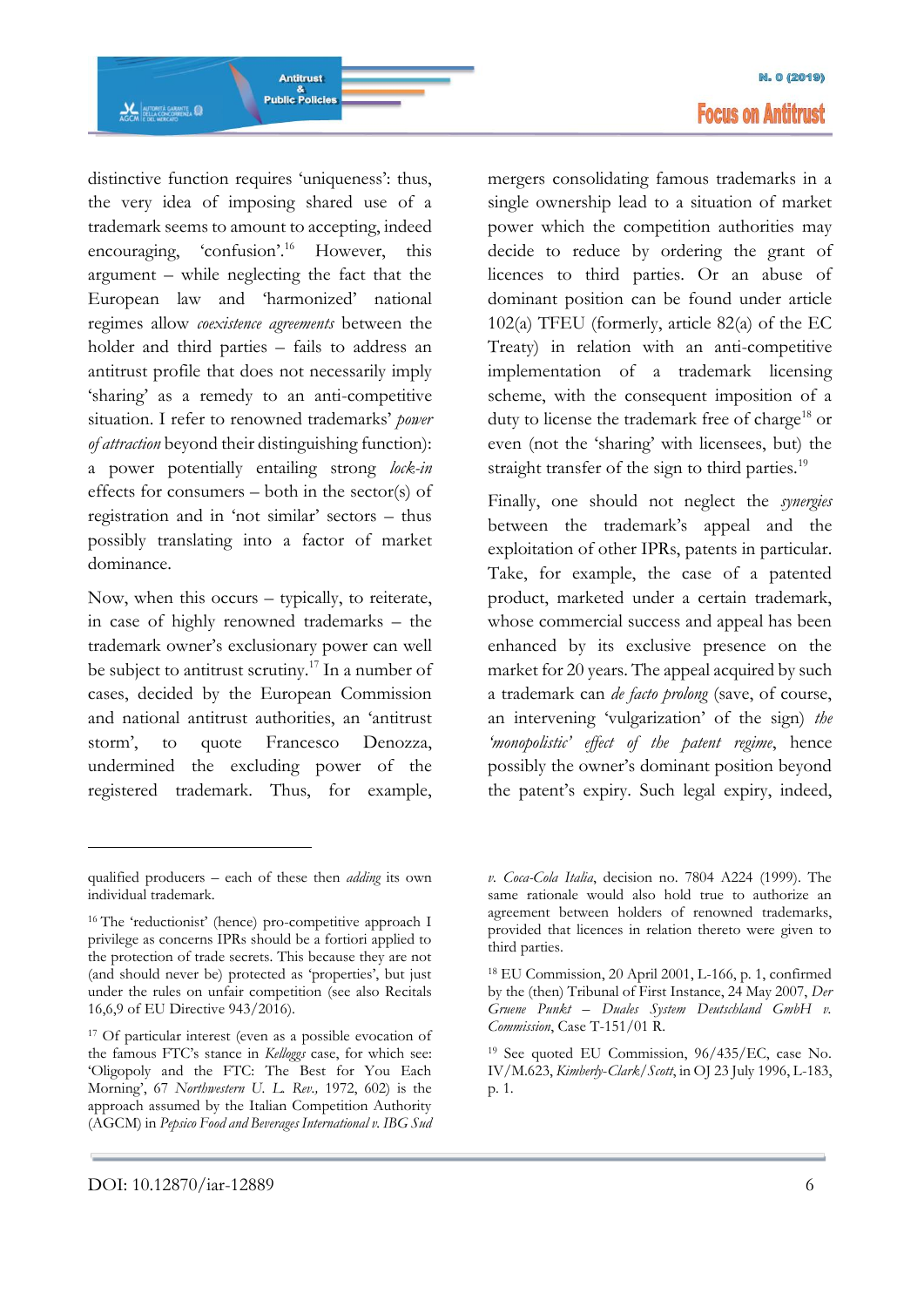distinctive function requires 'uniqueness': thus, the very idea of imposing shared use of a trademark seems to amount to accepting, indeed encouraging, 'confusion'.<sup>16</sup> However, this argument – while neglecting the fact that the European law and 'harmonized' national regimes allow *coexistence agreements* between the holder and third parties – fails to address an antitrust profile that does not necessarily imply 'sharing' as a remedy to an anti-competitive situation. I refer to renowned trademarks' *power of attraction* beyond their distinguishing function): a power potentially entailing strong *lock-in* effects for consumers – both in the sector(s) of registration and in 'not similar' sectors – thus possibly translating into a factor of market dominance.

**Antitrust Public Policies** 

**AL AUTORITÀ GARANTE** 

Now, when this occurs – typically, to reiterate, in case of highly renowned trademarks – the trademark owner's exclusionary power can well be subject to antitrust scrutiny.<sup>17</sup> In a number of cases, decided by the European Commission and national antitrust authorities, an 'antitrust storm', to quote Francesco Denozza, undermined the excluding power of the registered trademark. Thus, for example,

mergers consolidating famous trademarks in a single ownership lead to a situation of market power which the competition authorities may decide to reduce by ordering the grant of licences to third parties. Or an abuse of dominant position can be found under article 102(a) TFEU (formerly, article 82(a) of the EC Treaty) in relation with an anti-competitive implementation of a trademark licensing scheme, with the consequent imposition of a duty to license the trademark free of charge<sup>18</sup> or even (not the 'sharing' with licensees, but) the straight transfer of the sign to third parties.<sup>19</sup>

Finally, one should not neglect the *synergies*  between the trademark's appeal and the exploitation of other IPRs, patents in particular. Take, for example, the case of a patented product, marketed under a certain trademark, whose commercial success and appeal has been enhanced by its exclusive presence on the market for 20 years. The appeal acquired by such a trademark can *de facto prolong* (save, of course, an intervening 'vulgarization' of the sign) *the 'monopolistic' effect of the patent regime*, hence possibly the owner's dominant position beyond the patent's expiry. Such legal expiry, indeed,

qualified producers – each of these then *adding* its own individual trademark.

<sup>&</sup>lt;sup>16</sup> The 'reductionist' (hence) pro-competitive approach I privilege as concerns IPRs should be a fortiori applied to the protection of trade secrets. This because they are not (and should never be) protected as 'properties', but just under the rules on unfair competition (see also Recitals 16,6,9 of EU Directive 943/2016).

<sup>17</sup> Of particular interest (even as a possible evocation of the famous FTC's stance in *Kelloggs* case, for which see: 'Oligopoly and the FTC: The Best for You Each Morning', 67 *Northwestern U. L. Rev.,* 1972, 602) is the approach assumed by the Italian Competition Authority (AGCM) in *Pepsico Food and Beverages International v. IBG Sud* 

*v. Coca-Cola Italia*, decision no. 7804 A224 (1999). The same rationale would also hold true to authorize an agreement between holders of renowned trademarks, provided that licences in relation thereto were given to third parties.

<sup>18</sup> EU Commission, 20 April 2001, L-166, p. 1, confirmed by the (then) Tribunal of First Instance, 24 May 2007, *Der Gruene Punkt – Duales System Deutschland GmbH v. Commission*, Case T-151/01 R.

<sup>19</sup> See quoted EU Commission, 96/435/EC, case No. IV/M.623, *Kimberly*-*Clark*/*Scott*, in OJ 23 July 1996, L-183, p. 1.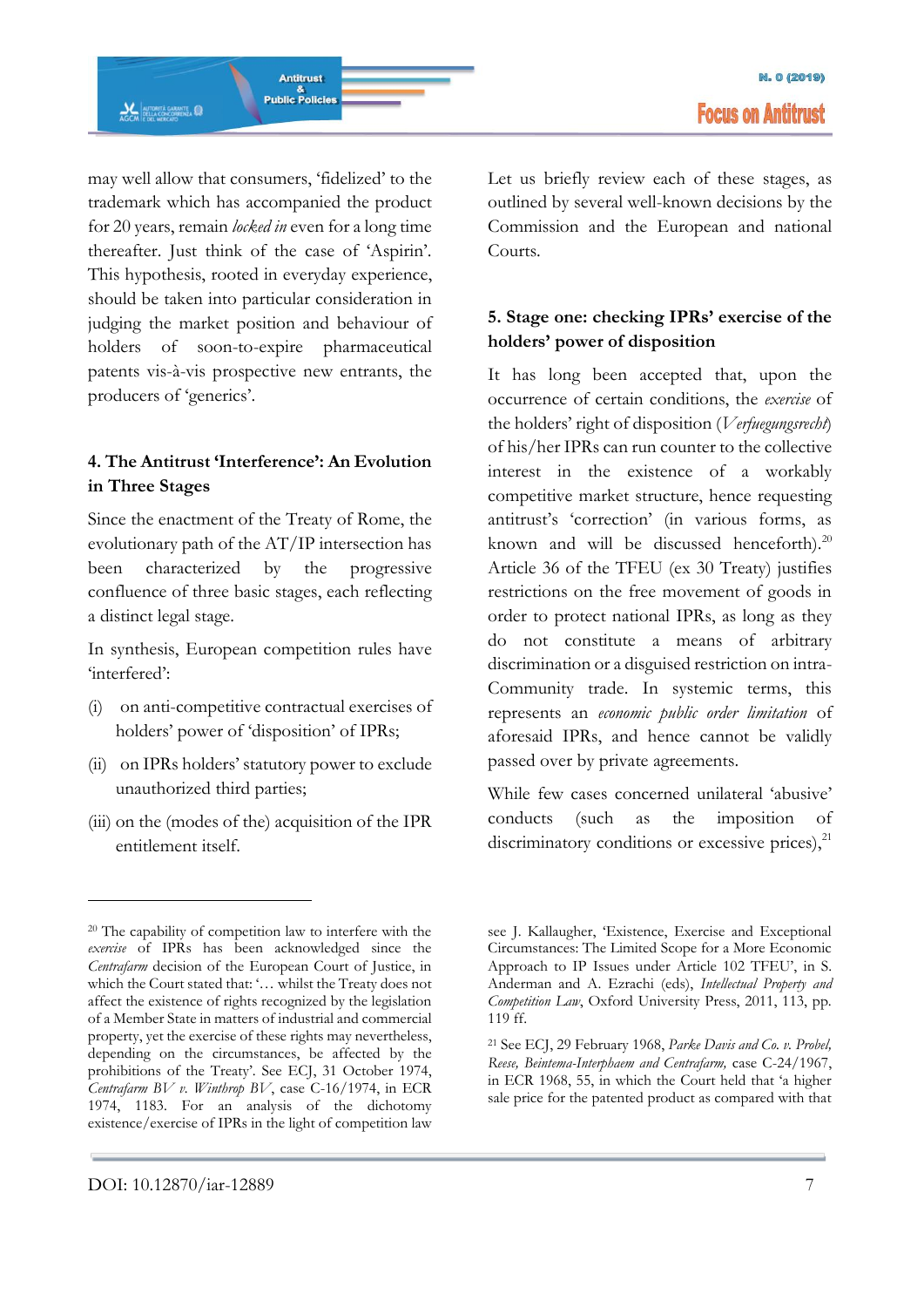may well allow that consumers, 'fidelized' to the trademark which has accompanied the product for 20 years, remain *locked in* even for a long time thereafter. Just think of the case of 'Aspirin'. This hypothesis, rooted in everyday experience, should be taken into particular consideration in judging the market position and behaviour of holders of soon-to-expire pharmaceutical patents vis-à-vis prospective new entrants, the producers of 'generics'.

### **4. The Antitrust 'Interference': An Evolution in Three Stages**

Since the enactment of the Treaty of Rome, the evolutionary path of the AT/IP intersection has been characterized by the progressive confluence of three basic stages, each reflecting a distinct legal stage.

In synthesis, European competition rules have 'interfered':

- (i) on anti-competitive contractual exercises of holders' power of 'disposition' of IPRs;
- (ii) on IPRs holders' statutory power to exclude unauthorized third parties;
- (iii) on the (modes of the) acquisition of the IPR entitlement itself.

Let us briefly review each of these stages, as outlined by several well-known decisions by the Commission and the European and national Courts.

### **5. Stage one: checking IPRs' exercise of the holders' power of disposition**

It has long been accepted that, upon the occurrence of certain conditions, the *exercise* of the holders' right of disposition (*Verfuegungsrecht*) of his/her IPRs can run counter to the collective interest in the existence of a workably competitive market structure, hence requesting antitrust's 'correction' (in various forms, as known and will be discussed henceforth). $20$ Article 36 of the TFEU (ex 30 Treaty) justifies restrictions on the free movement of goods in order to protect national IPRs, as long as they do not constitute a means of arbitrary discrimination or a disguised restriction on intra-Community trade. In systemic terms, this represents an *economic public order limitation* of aforesaid IPRs, and hence cannot be validly passed over by private agreements.

While few cases concerned unilateral 'abusive' conducts (such as the imposition of discriminatory conditions or excessive prices), $^{21}$ 

<sup>20</sup> The capability of competition law to interfere with the *exercise* of IPRs has been acknowledged since the *Centrafarm* decision of the European Court of Justice, in which the Court stated that: '… whilst the Treaty does not affect the existence of rights recognized by the legislation of a Member State in matters of industrial and commercial property, yet the exercise of these rights may nevertheless, depending on the circumstances, be affected by the prohibitions of the Treaty'. See ECJ, 31 October 1974, *Centrafarm BV v. Winthrop BV*, case C-16/1974, in ECR 1974, 1183. For an analysis of the dichotomy existence/exercise of IPRs in the light of competition law

see J. Kallaugher, 'Existence, Exercise and Exceptional Circumstances: The Limited Scope for a More Economic Approach to IP Issues under Article 102 TFEU', in S. Anderman and A. Ezrachi (eds), *Intellectual Property and Competition Law*, Oxford University Press, 2011, 113, pp. 119 ff.

<sup>21</sup> See ECJ, 29 February 1968, *Parke Davis and Co. v. Probel, Reese, Beintema-Interphaem and Centrafarm,* case C-24/1967, in ECR 1968, 55, in which the Court held that 'a higher sale price for the patented product as compared with that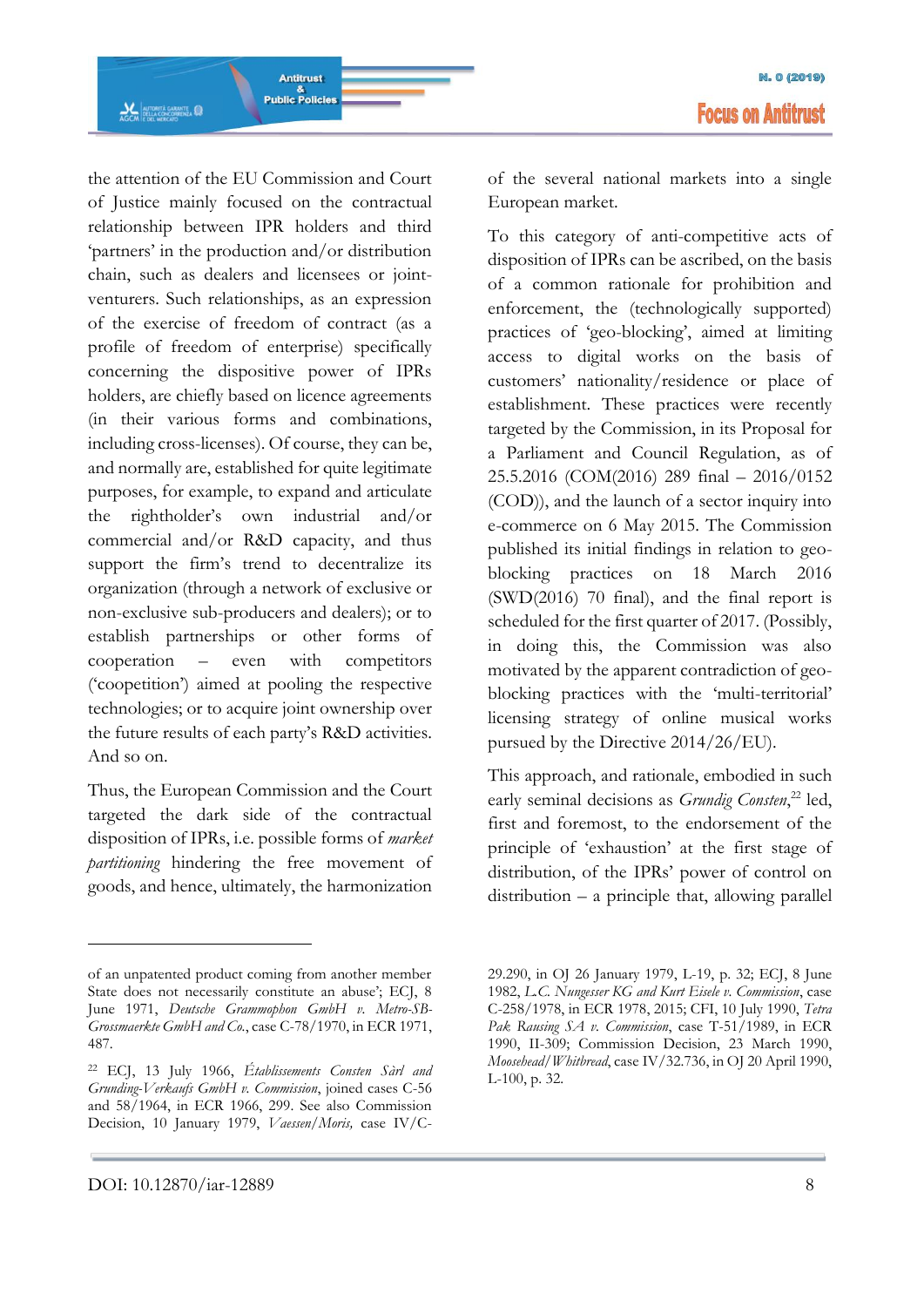the attention of the EU Commission and Court of Justice mainly focused on the contractual relationship between IPR holders and third 'partners' in the production and/or distribution chain, such as dealers and licensees or jointventurers. Such relationships, as an expression of the exercise of freedom of contract (as a profile of freedom of enterprise) specifically concerning the dispositive power of IPRs holders, are chiefly based on licence agreements (in their various forms and combinations, including cross-licenses). Of course, they can be, and normally are, established for quite legitimate purposes, for example, to expand and articulate the rightholder's own industrial and/or commercial and/or R&D capacity, and thus support the firm's trend to decentralize its organization (through a network of exclusive or non-exclusive sub-producers and dealers); or to establish partnerships or other forms of cooperation – even with competitors ('coopetition') aimed at pooling the respective technologies; or to acquire joint ownership over the future results of each party's R&D activities. And so on.

Thus, the European Commission and the Court targeted the dark side of the contractual disposition of IPRs, i.e. possible forms of *market partitioning* hindering the free movement of goods, and hence, ultimately, the harmonization

<u>.</u>

of the several national markets into a single European market.

To this category of anti-competitive acts of disposition of IPRs can be ascribed, on the basis of a common rationale for prohibition and enforcement, the (technologically supported) practices of 'geo-blocking', aimed at limiting access to digital works on the basis of customers' nationality/residence or place of establishment. These practices were recently targeted by the Commission, in its Proposal for a Parliament and Council Regulation, as of 25.5.2016 (COM(2016) 289 final – 2016/0152 (COD)), and the launch of a sector inquiry into e-commerce on 6 May 2015. The Commission published its initial findings in relation to geoblocking practices on 18 March 2016 (SWD(2016) 70 final), and the final report is scheduled for the first quarter of 2017. (Possibly, in doing this, the Commission was also motivated by the apparent contradiction of geoblocking practices with the 'multi-territorial' licensing strategy of online musical works pursued by the Directive 2014/26/EU).

This approach, and rationale, embodied in such early seminal decisions as *Grundig Consten*,<sup>22</sup> led, first and foremost, to the endorsement of the principle of 'exhaustion' at the first stage of distribution, of the IPRs' power of control on distribution – a principle that, allowing parallel

of an unpatented product coming from another member State does not necessarily constitute an abuse'; ECJ, 8 June 1971, *Deutsche Grammophon GmbH v. Metro-SB-Grossmaerkte GmbH and Co.*, case C-78/1970, in ECR 1971, 487.

<sup>22</sup> ECJ, 13 July 1966, *Établissements Consten Sàrl and Grunding-Verkaufs GmbH v. Commission*, joined cases C-56 and 58/1964, in ECR 1966, 299. See also Commission Decision, 10 January 1979, *Vaessen/Moris,* case IV/C-

<sup>29.290,</sup> in OJ 26 January 1979, L-19, p. 32; ECJ, 8 June 1982, *L.C. Nungesser KG and Kurt Eisele v. Commission*, case C-258/1978, in ECR 1978, 2015; CFI, 10 July 1990, *Tetra Pak Rausing SA v. Commission*, case T-51/1989, in ECR 1990, II-309; Commission Decision, 23 March 1990, *Moosehead/Whitbread*, case IV/32.736, in OJ 20 April 1990, L-100, p. 32.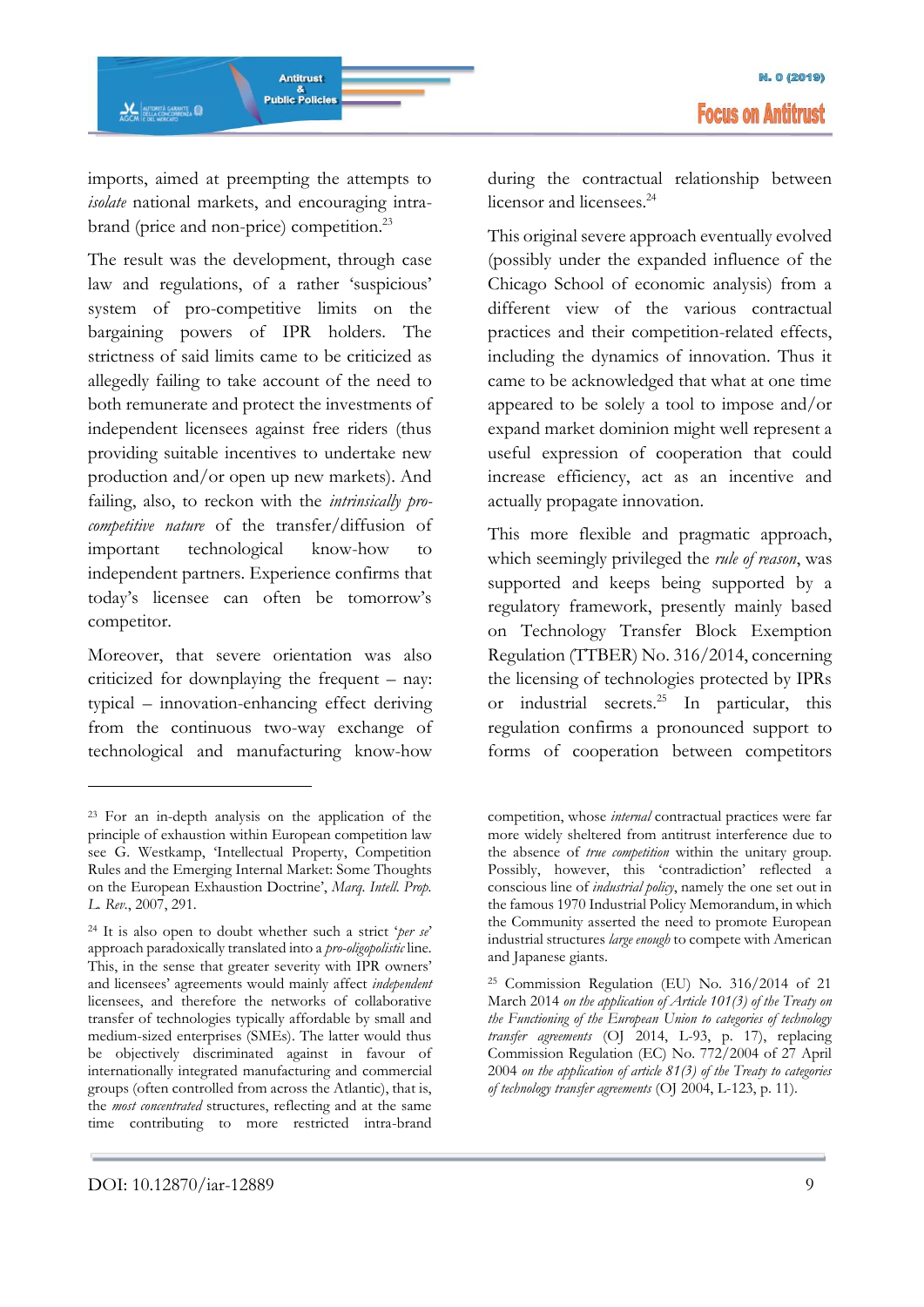imports, aimed at preempting the attempts to *isolate* national markets, and encouraging intrabrand (price and non-price) competition.<sup>23</sup>

The result was the development, through case law and regulations, of a rather 'suspicious' system of pro-competitive limits on the bargaining powers of IPR holders. The strictness of said limits came to be criticized as allegedly failing to take account of the need to both remunerate and protect the investments of independent licensees against free riders (thus providing suitable incentives to undertake new production and/or open up new markets). And failing, also, to reckon with the *intrinsically procompetitive nature* of the transfer/diffusion of important technological know-how to independent partners. Experience confirms that today's licensee can often be tomorrow's competitor.

Moreover, that severe orientation was also criticized for downplaying the frequent – nay: typical – innovation-enhancing effect deriving from the continuous two-way exchange of technological and manufacturing know-how

during the contractual relationship between licensor and licensees.<sup>24</sup>

This original severe approach eventually evolved (possibly under the expanded influence of the Chicago School of economic analysis) from a different view of the various contractual practices and their competition-related effects, including the dynamics of innovation. Thus it came to be acknowledged that what at one time appeared to be solely a tool to impose and/or expand market dominion might well represent a useful expression of cooperation that could increase efficiency, act as an incentive and actually propagate innovation.

This more flexible and pragmatic approach, which seemingly privileged the *rule of reason*, was supported and keeps being supported by a regulatory framework, presently mainly based on Technology Transfer Block Exemption Regulation (TTBER) No. 316/2014, concerning the licensing of technologies protected by IPRs or industrial secrets.<sup>25</sup> In particular, this regulation confirms a pronounced support to forms of cooperation between competitors

<sup>23</sup> For an in-depth analysis on the application of the principle of exhaustion within European competition law see G. Westkamp, 'Intellectual Property, Competition Rules and the Emerging Internal Market: Some Thoughts on the European Exhaustion Doctrine', *Marq. Intell. Prop. L. Rev.*, 2007, 291.

<sup>24</sup> It is also open to doubt whether such a strict '*per se*' approach paradoxically translated into a *pro-oligopolistic* line*.*  This, in the sense that greater severity with IPR owners' and licensees' agreements would mainly affect *independent*  licensees, and therefore the networks of collaborative transfer of technologies typically affordable by small and medium-sized enterprises (SMEs). The latter would thus be objectively discriminated against in favour of internationally integrated manufacturing and commercial groups (often controlled from across the Atlantic), that is, the *most concentrated* structures, reflecting and at the same time contributing to more restricted intra-brand

competition, whose *internal* contractual practices were far more widely sheltered from antitrust interference due to the absence of *true competition* within the unitary group. Possibly, however, this 'contradiction' reflected a conscious line of *industrial policy*, namely the one set out in the famous 1970 Industrial Policy Memorandum, in which the Community asserted the need to promote European industrial structures *large enough* to compete with American and Japanese giants.

<sup>25</sup> Commission Regulation (EU) No. 316/2014 of 21 March 2014 *on the application of Article 101(3) of the Treaty on the Functioning of the European Union to categories of technology transfer agreements* (OJ 2014, L-93, p. 17), replacing Commission Regulation (EC) No. 772/2004 of 27 April 2004 *on the application of article 81(3) of the Treaty to categories of technology transfer agreements* (OJ 2004, L-123, p. 11).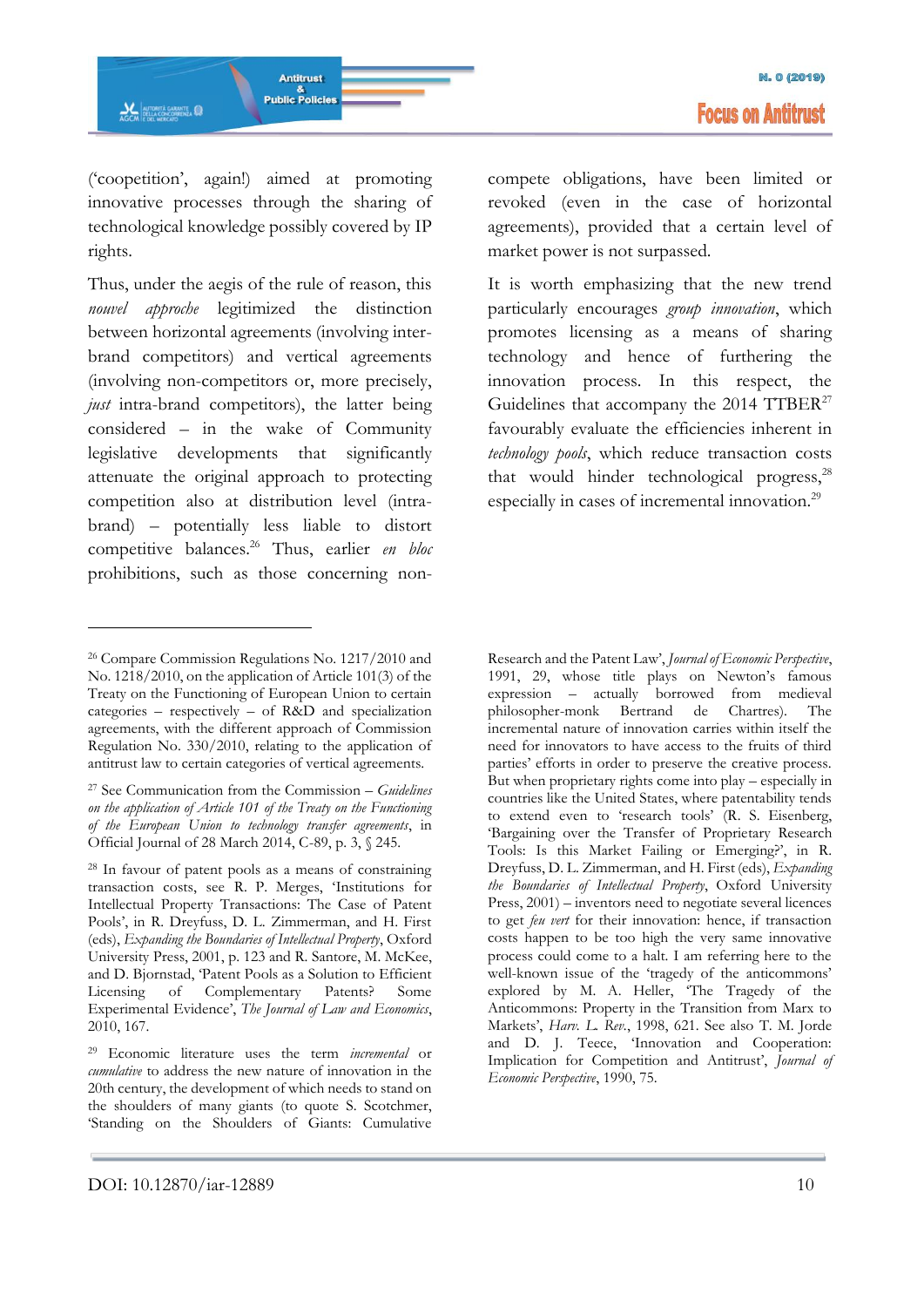('coopetition', again!) aimed at promoting innovative processes through the sharing of technological knowledge possibly covered by IP rights.

Thus, under the aegis of the rule of reason, this *nouvel approche* legitimized the distinction between horizontal agreements (involving interbrand competitors) and vertical agreements (involving non-competitors or, more precisely, *just* intra-brand competitors), the latter being considered – in the wake of Community legislative developments that significantly attenuate the original approach to protecting competition also at distribution level (intrabrand) – potentially less liable to distort competitive balances.<sup>26</sup> Thus, earlier *en bloc* prohibitions, such as those concerning non-

-

compete obligations, have been limited or revoked (even in the case of horizontal agreements), provided that a certain level of market power is not surpassed.

It is worth emphasizing that the new trend particularly encourages *group innovation*, which promotes licensing as a means of sharing technology and hence of furthering the innovation process. In this respect, the Guidelines that accompany the 2014 TTBER<sup>27</sup> favourably evaluate the efficiencies inherent in *technology pools*, which reduce transaction costs that would hinder technological progress, $^{28}$ especially in cases of incremental innovation.<sup>29</sup>

<sup>26</sup> Compare Commission Regulations No. 1217/2010 and No. 1218/2010, on the application of Article 101(3) of the Treaty on the Functioning of European Union to certain categories – respectively – of R&D and specialization agreements, with the different approach of Commission Regulation No. 330/2010, relating to the application of antitrust law to certain categories of vertical agreements.

<sup>27</sup> See Communication from the Commission – *Guidelines on the application of Article 101 of the Treaty on the Functioning of the European Union to technology transfer agreements*, in Official Journal of 28 March 2014, C-89, p. 3, § 245.

<sup>28</sup> In favour of patent pools as a means of constraining transaction costs, see R. P. Merges, 'Institutions for Intellectual Property Transactions: The Case of Patent Pools', in R. Dreyfuss, D. L. Zimmerman, and H. First (eds), *Expanding the Boundaries of Intellectual Property*, Oxford University Press, 2001, p. 123 and R. Santore, M. McKee, and D. Bjornstad, 'Patent Pools as a Solution to Efficient Licensing of Complementary Patents? Some Experimental Evidence', *The Journal of Law and Economics*, 2010, 167.

<sup>29</sup> Economic literature uses the term *incremental* or *cumulative* to address the new nature of innovation in the 20th century, the development of which needs to stand on the shoulders of many giants (to quote S. Scotchmer, 'Standing on the Shoulders of Giants: Cumulative

Research and the Patent Law', *Journal of Economic Perspective*, 1991, 29, whose title plays on Newton's famous expression – actually borrowed from medieval philosopher-monk Bertrand de Chartres). The incremental nature of innovation carries within itself the need for innovators to have access to the fruits of third parties' efforts in order to preserve the creative process. But when proprietary rights come into play – especially in countries like the United States, where patentability tends to extend even to 'research tools' (R. S. Eisenberg, 'Bargaining over the Transfer of Proprietary Research Tools: Is this Market Failing or Emerging?', in R. Dreyfuss, D. L. Zimmerman, and H. First (eds), *Expanding the Boundaries of Intellectual Property*, Oxford University Press, 2001) – inventors need to negotiate several licences to get *feu vert* for their innovation: hence, if transaction costs happen to be too high the very same innovative process could come to a halt. I am referring here to the well-known issue of the 'tragedy of the anticommons' explored by M. A. Heller, 'The Tragedy of the Anticommons: Property in the Transition from Marx to Markets', *Harv. L. Rev.*, 1998, 621. See also T. M. Jorde and D. J. Teece, 'Innovation and Cooperation: Implication for Competition and Antitrust', *Journal of Economic Perspective*, 1990, 75.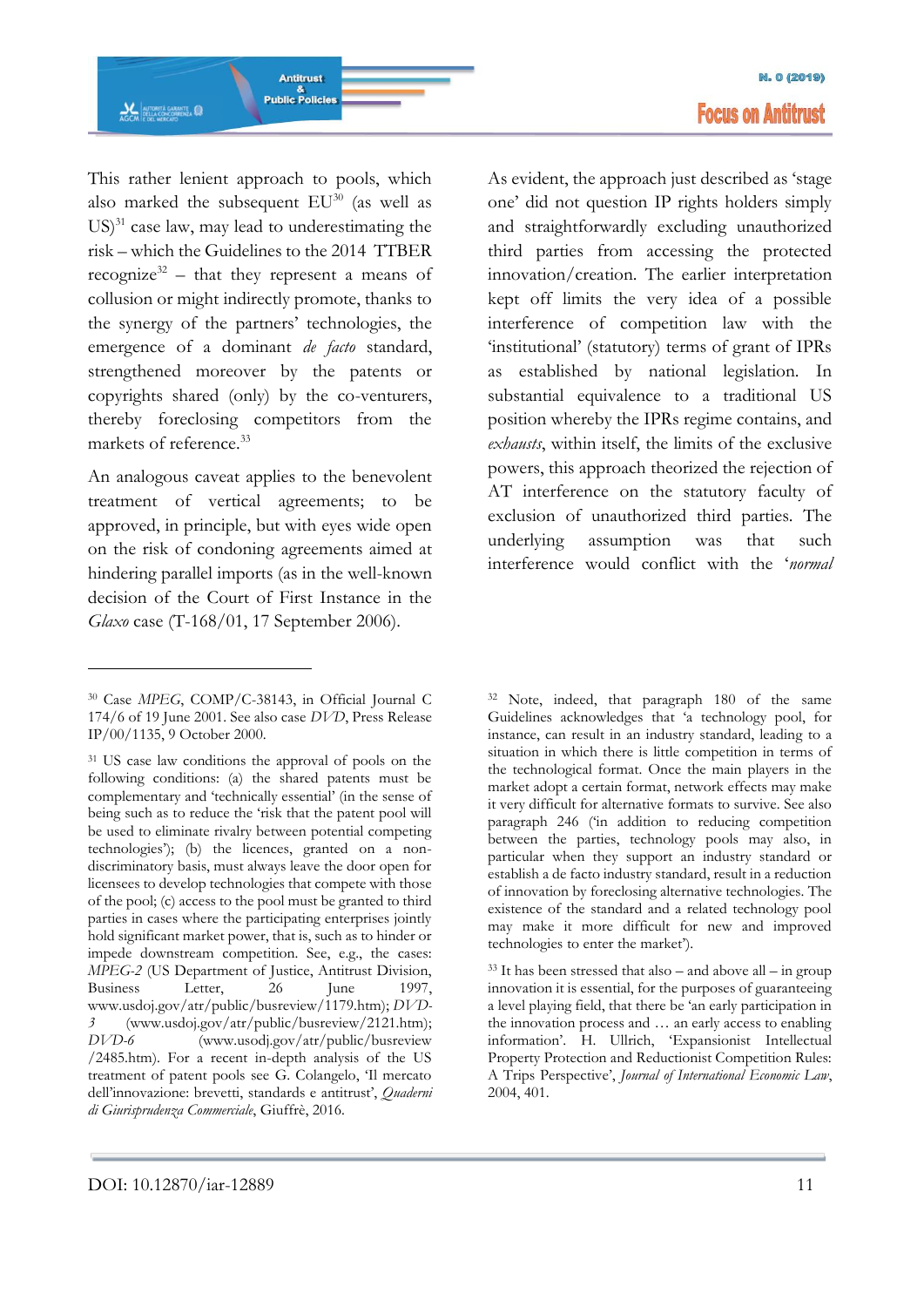This rather lenient approach to pools, which also marked the subsequent  $EU^{30}$  (as well as  $US$ <sup>31</sup> case law, may lead to underestimating the risk – which the Guidelines to the 2014 TTBER recognize<sup>32</sup> – that they represent a means of collusion or might indirectly promote, thanks to the synergy of the partners' technologies, the emergence of a dominant *de facto* standard, strengthened moreover by the patents or copyrights shared (only) by the co-venturers, thereby foreclosing competitors from the markets of reference.<sup>33</sup>

An analogous caveat applies to the benevolent treatment of vertical agreements; to be approved, in principle, but with eyes wide open on the risk of condoning agreements aimed at hindering parallel imports (as in the well-known decision of the Court of First Instance in the *Glaxo* case (T-168/01, 17 September 2006).

<u>.</u>

As evident, the approach just described as 'stage one' did not question IP rights holders simply and straightforwardly excluding unauthorized third parties from accessing the protected innovation/creation. The earlier interpretation kept off limits the very idea of a possible interference of competition law with the 'institutional' (statutory) terms of grant of IPRs as established by national legislation. In substantial equivalence to a traditional US position whereby the IPRs regime contains, and *exhausts*, within itself, the limits of the exclusive powers, this approach theorized the rejection of AT interference on the statutory faculty of exclusion of unauthorized third parties. The underlying assumption was that such interference would conflict with the '*normal* 

<sup>30</sup> Case *MPEG*, COMP/C-38143, in Official Journal C 174/6 of 19 June 2001. See also case *DVD*, Press Release IP/00/1135, 9 October 2000.

<sup>31</sup> US case law conditions the approval of pools on the following conditions: (a) the shared patents must be complementary and 'technically essential' (in the sense of being such as to reduce the 'risk that the patent pool will be used to eliminate rivalry between potential competing technologies'); (b) the licences, granted on a nondiscriminatory basis, must always leave the door open for licensees to develop technologies that compete with those of the pool; (c) access to the pool must be granted to third parties in cases where the participating enterprises jointly hold significant market power, that is, such as to hinder or impede downstream competition. See, e.g., the cases: *MPEG-2* (US Department of Justice, Antitrust Division, Business Letter, 26 June 1997, www.usdoj.gov/atr/public/busreview/1179.htm); *DVD-3* (www.usdoj.gov/atr/public/busreview/2121.htm); *DVD-6* (www.usodj.gov/atr/public/busreview /2485.htm). For a recent in-depth analysis of the US treatment of patent pools see G. Colangelo, 'Il mercato dell'innovazione: brevetti, standards e antitrust', *Quaderni di Giurisprudenza Commerciale*, Giuffrè, 2016.

<sup>32</sup> Note, indeed, that paragraph 180 of the same Guidelines acknowledges that 'a technology pool, for instance, can result in an industry standard, leading to a situation in which there is little competition in terms of the technological format. Once the main players in the market adopt a certain format, network effects may make it very difficult for alternative formats to survive. See also paragraph 246 ('in addition to reducing competition between the parties, technology pools may also, in particular when they support an industry standard or establish a de facto industry standard, result in a reduction of innovation by foreclosing alternative technologies. The existence of the standard and a related technology pool may make it more difficult for new and improved technologies to enter the market').

 $33$  It has been stressed that also – and above all – in group innovation it is essential, for the purposes of guaranteeing a level playing field, that there be 'an early participation in the innovation process and … an early access to enabling information'. H. Ullrich, 'Expansionist Intellectual Property Protection and Reductionist Competition Rules: A Trips Perspective', *Journal of International Economic Law*, 2004, 401.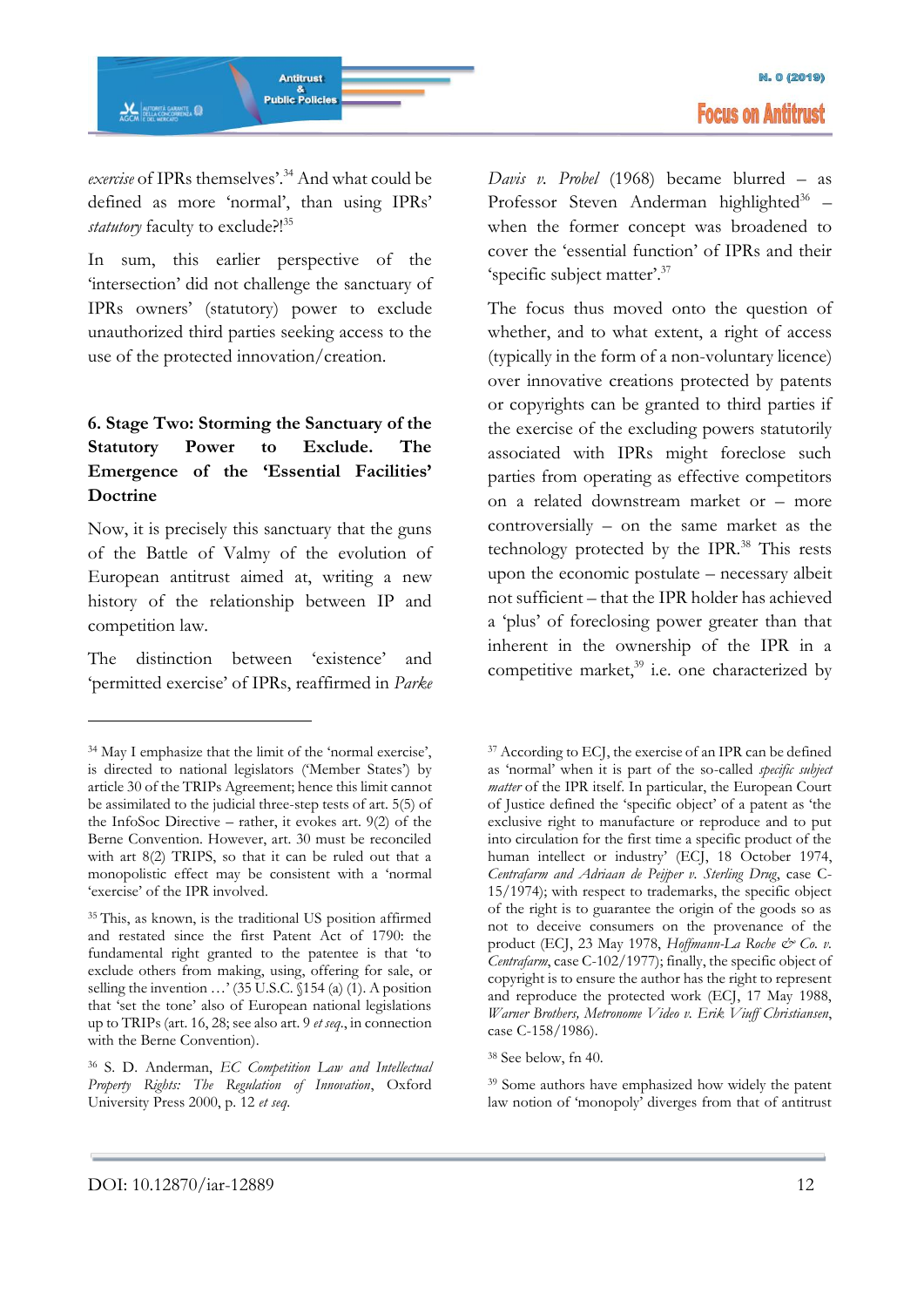*exercise* of IPRs themselves'.<sup>34</sup> And what could be defined as more 'normal', than using IPRs' *statutory* faculty to exclude?!<sup>35</sup>

In sum, this earlier perspective of the 'intersection' did not challenge the sanctuary of IPRs owners' (statutory) power to exclude unauthorized third parties seeking access to the use of the protected innovation/creation.

# **6. Stage Two: Storming the Sanctuary of the Statutory Power to Exclude. The Emergence of the 'Essential Facilities' Doctrine**

Now, it is precisely this sanctuary that the guns of the Battle of Valmy of the evolution of European antitrust aimed at, writing a new history of the relationship between IP and competition law.

The distinction between 'existence' and 'permitted exercise' of IPRs, reaffirmed in *Parke*  *Davis v. Probel* (1968) became blurred – as Professor Steven Anderman highlighted<sup>36</sup> when the former concept was broadened to cover the 'essential function' of IPRs and their 'specific subject matter'.<sup>37</sup>

The focus thus moved onto the question of whether, and to what extent, a right of access (typically in the form of a non-voluntary licence) over innovative creations protected by patents or copyrights can be granted to third parties if the exercise of the excluding powers statutorily associated with IPRs might foreclose such parties from operating as effective competitors on a related downstream market or – more controversially – on the same market as the technology protected by the IPR.<sup>38</sup> This rests upon the economic postulate – necessary albeit not sufficient – that the IPR holder has achieved a 'plus' of foreclosing power greater than that inherent in the ownership of the IPR in a competitive market, $39$  i.e. one characterized by

-

<sup>34</sup> May I emphasize that the limit of the 'normal exercise', is directed to national legislators ('Member States') by article 30 of the TRIPs Agreement; hence this limit cannot be assimilated to the judicial three-step tests of art. 5(5) of the InfoSoc Directive – rather, it evokes art. 9(2) of the Berne Convention. However, art. 30 must be reconciled with art 8(2) TRIPS, so that it can be ruled out that a monopolistic effect may be consistent with a 'normal 'exercise' of the IPR involved.

<sup>35</sup>This, as known, is the traditional US position affirmed and restated since the first Patent Act of 1790: the fundamental right granted to the patentee is that 'to exclude others from making, using, offering for sale, or selling the invention …' (35 U.S.C. §154 (a) (1). A position that 'set the tone' also of European national legislations up to TRIPs (art. 16, 28; see also art. 9 *et seq*., in connection with the Berne Convention).

<sup>36</sup> S. D. Anderman, *EC Competition Law and Intellectual Property Rights: The Regulation of Innovation*, Oxford University Press 2000, p. 12 *et seq*.

<sup>37</sup> According to ECJ, the exercise of an IPR can be defined as 'normal' when it is part of the so-called *specific subject matter* of the IPR itself. In particular, the European Court of Justice defined the 'specific object' of a patent as 'the exclusive right to manufacture or reproduce and to put into circulation for the first time a specific product of the human intellect or industry' (ECJ, 18 October 1974, *Centrafarm and Adriaan de Peijper v. Sterling Drug*, case C-15/1974); with respect to trademarks, the specific object of the right is to guarantee the origin of the goods so as not to deceive consumers on the provenance of the product (ECJ, 23 May 1978, *Hoffmann-La Roche & Co. v. Centrafarm*, case C-102/1977); finally, the specific object of copyright is to ensure the author has the right to represent and reproduce the protected work (ECJ, 17 May 1988, *Warner Brothers, Metronome Video v. Erik Viuff Christiansen*, case C-158/1986).

<sup>38</sup> See below, fn 40.

<sup>39</sup> Some authors have emphasized how widely the patent law notion of 'monopoly' diverges from that of antitrust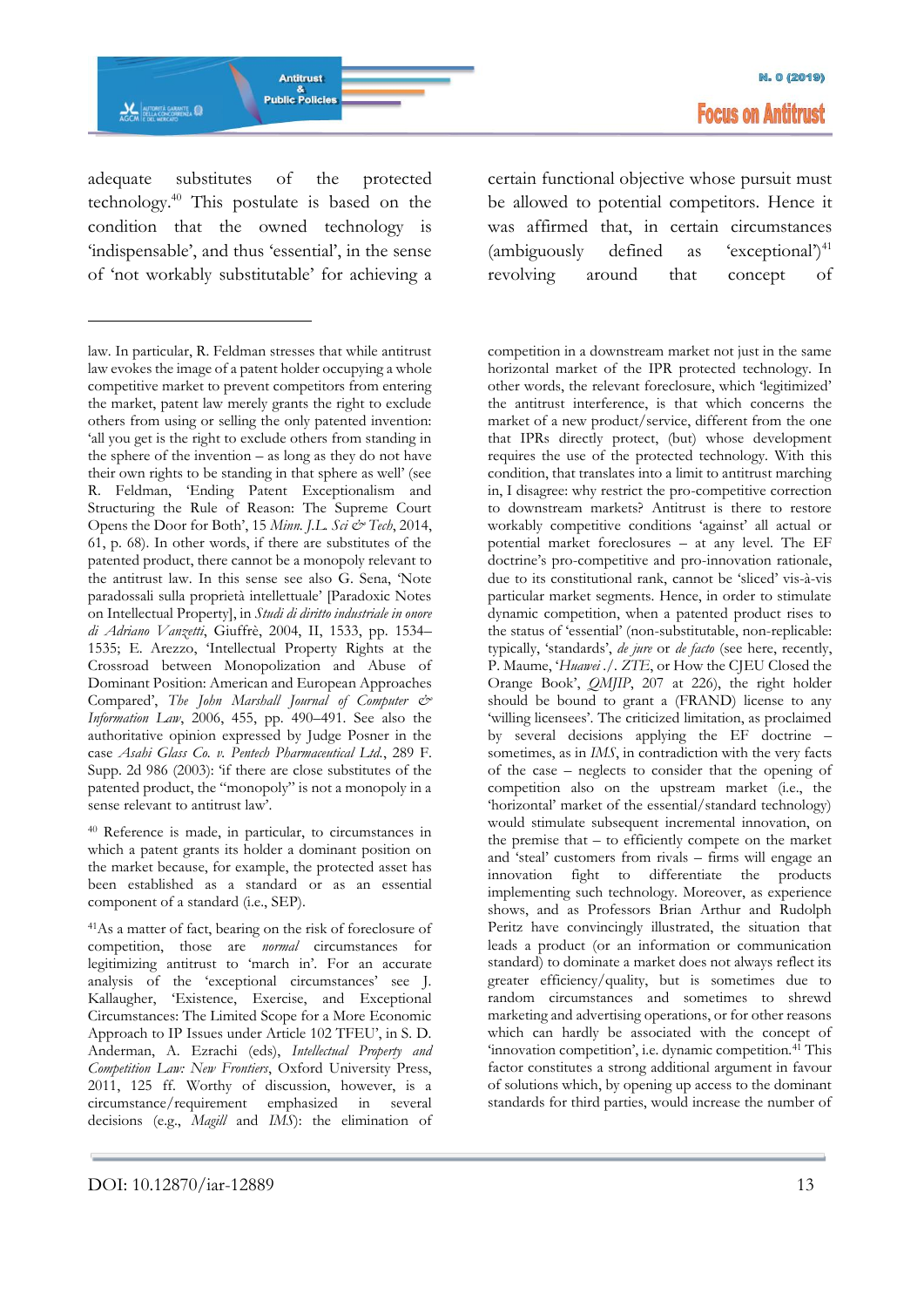

**M. 0 (2019) Focus on Antitrust** 

adequate substitutes of the protected technology.<sup>40</sup> This postulate is based on the condition that the owned technology is 'indispensable', and thus 'essential', in the sense of 'not workably substitutable' for achieving a

-

<sup>40</sup> Reference is made, in particular, to circumstances in which a patent grants its holder a dominant position on the market because, for example, the protected asset has been established as a standard or as an essential component of a standard (i.e., SEP).

<sup>41</sup>As a matter of fact, bearing on the risk of foreclosure of competition, those are *normal* circumstances for legitimizing antitrust to 'march in'. For an accurate analysis of the 'exceptional circumstances' see J. Kallaugher, 'Existence, Exercise, and Exceptional Circumstances: The Limited Scope for a More Economic Approach to IP Issues under Article 102 TFEU', in S. D. Anderman, A. Ezrachi (eds), *Intellectual Property and Competition Law: New Frontiers*, Oxford University Press, 2011, 125 ff. Worthy of discussion, however, is a circumstance/requirement emphasized in several decisions (e.g., *Magill* and *IMS*): the elimination of

certain functional objective whose pursuit must be allowed to potential competitors. Hence it was affirmed that, in certain circumstances (ambiguously defined as 'exceptional') $^{41}$ revolving around that concept of

competition in a downstream market not just in the same horizontal market of the IPR protected technology. In other words, the relevant foreclosure, which 'legitimized' the antitrust interference, is that which concerns the market of a new product/service, different from the one that IPRs directly protect, (but) whose development requires the use of the protected technology. With this condition, that translates into a limit to antitrust marching in, I disagree: why restrict the pro-competitive correction to downstream markets? Antitrust is there to restore workably competitive conditions 'against' all actual or potential market foreclosures – at any level. The EF doctrine's pro-competitive and pro-innovation rationale, due to its constitutional rank, cannot be 'sliced' vis-à-vis particular market segments. Hence, in order to stimulate dynamic competition, when a patented product rises to the status of 'essential' (non-substitutable, non-replicable: typically, 'standards', *de jure* or *de facto* (see here, recently, P. Maume, '*Huawei ./. ZTE*, or How the CJEU Closed the Orange Book', *QMJIP*, 207 at 226), the right holder should be bound to grant a (FRAND) license to any 'willing licensees'. The criticized limitation, as proclaimed by several decisions applying the EF doctrine – sometimes, as in *IMS*, in contradiction with the very facts of the case – neglects to consider that the opening of competition also on the upstream market (i.e., the 'horizontal' market of the essential/standard technology) would stimulate subsequent incremental innovation, on the premise that – to efficiently compete on the market and 'steal' customers from rivals – firms will engage an innovation fight to differentiate the products implementing such technology. Moreover, as experience shows, and as Professors Brian Arthur and Rudolph Peritz have convincingly illustrated, the situation that leads a product (or an information or communication standard) to dominate a market does not always reflect its greater efficiency/quality, but is sometimes due to random circumstances and sometimes to shrewd marketing and advertising operations, or for other reasons which can hardly be associated with the concept of 'innovation competition', i.e. dynamic competition.<sup>41</sup> This factor constitutes a strong additional argument in favour of solutions which, by opening up access to the dominant standards for third parties, would increase the number of

law. In particular, R. Feldman stresses that while antitrust law evokes the image of a patent holder occupying a whole competitive market to prevent competitors from entering the market, patent law merely grants the right to exclude others from using or selling the only patented invention: 'all you get is the right to exclude others from standing in the sphere of the invention – as long as they do not have their own rights to be standing in that sphere as well' (see R. Feldman, 'Ending Patent Exceptionalism and Structuring the Rule of Reason: The Supreme Court Opens the Door for Both', 15 *Minn. J.L. Sci & Tech*, 2014, 61, p. 68). In other words, if there are substitutes of the patented product, there cannot be a monopoly relevant to the antitrust law. In this sense see also G. Sena, 'Note paradossali sulla proprietà intellettuale' [Paradoxic Notes on Intellectual Property], in *Studi di diritto industriale in onore di Adriano Vanzetti*, Giuffrè, 2004, II, 1533, pp. 1534– 1535; E. Arezzo, 'Intellectual Property Rights at the Crossroad between Monopolization and Abuse of Dominant Position: American and European Approaches Compared', *The John Marshall Journal of Computer & Information Law*, 2006, 455, pp. 490–491. See also the authoritative opinion expressed by Judge Posner in the case *Asahi Glass Co. v. Pentech Pharmaceutical Ltd.*, 289 F. Supp. 2d 986 (2003): 'if there are close substitutes of the patented product, the "monopoly" is not a monopoly in a sense relevant to antitrust law'.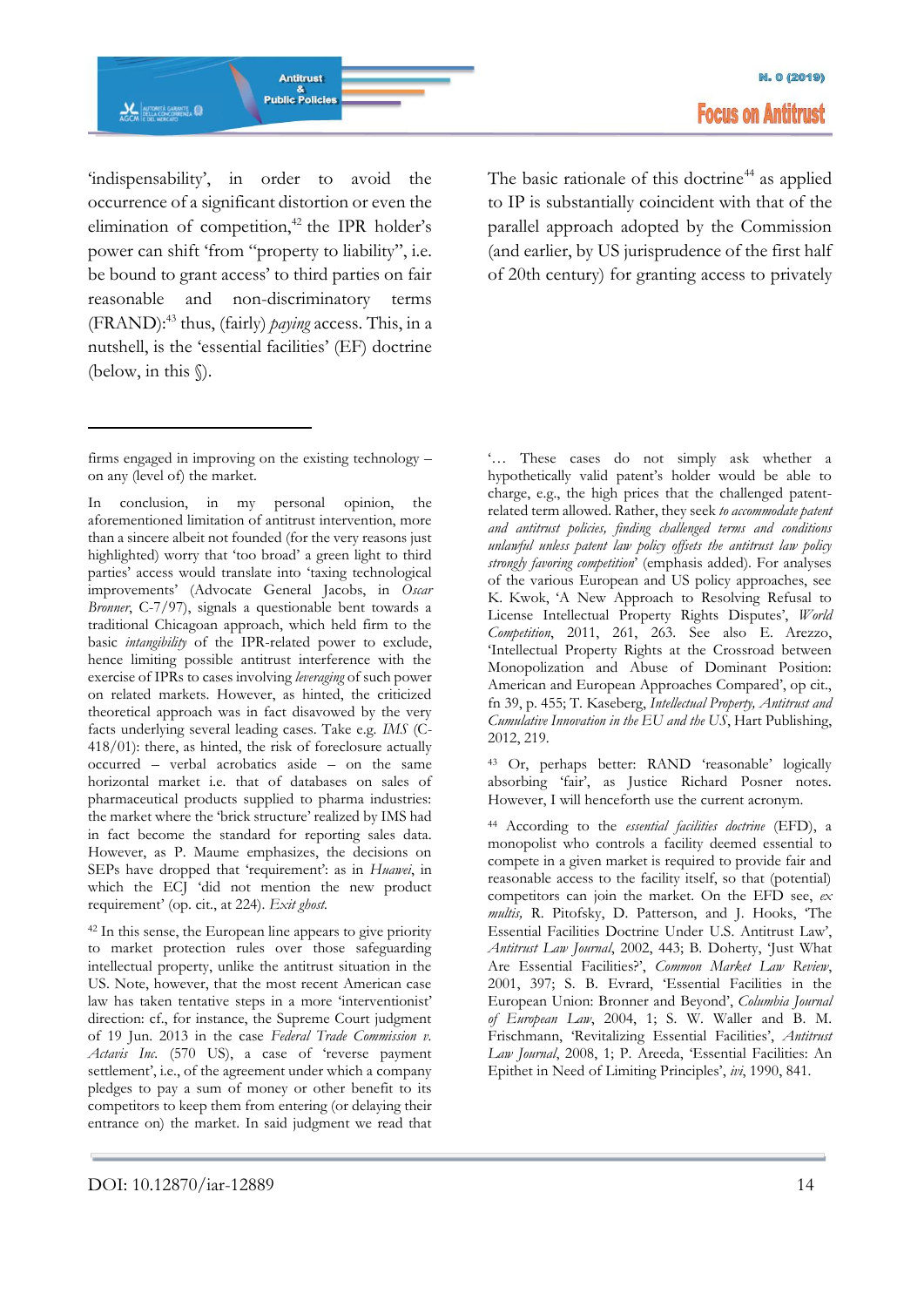'indispensability', in order to avoid the occurrence of a significant distortion or even the elimination of competition,<sup>42</sup> the IPR holder's power can shift 'from "property to liability", i.e. be bound to grant access' to third parties on fair reasonable and non-discriminatory terms (FRAND):<sup>43</sup> thus, (fairly) *paying* access. This, in a nutshell, is the 'essential facilities' (EF) doctrine (below, in this §).

-

In conclusion, in my personal opinion, the aforementioned limitation of antitrust intervention, more than a sincere albeit not founded (for the very reasons just highlighted) worry that 'too broad' a green light to third parties' access would translate into 'taxing technological improvements' (Advocate General Jacobs, in *Oscar Bronner*, C-7/97), signals a questionable bent towards a traditional Chicagoan approach, which held firm to the basic *intangibility* of the IPR-related power to exclude, hence limiting possible antitrust interference with the exercise of IPRs to cases involving *leveraging* of such power on related markets. However, as hinted, the criticized theoretical approach was in fact disavowed by the very facts underlying several leading cases. Take e.g. *IMS* (C-418/01): there, as hinted, the risk of foreclosure actually occurred – verbal acrobatics aside – on the same horizontal market i.e. that of databases on sales of pharmaceutical products supplied to pharma industries: the market where the 'brick structure' realized by IMS had in fact become the standard for reporting sales data. However, as P. Maume emphasizes, the decisions on SEPs have dropped that 'requirement': as in *Huawei*, in which the ECJ 'did not mention the new product requirement' (op. cit., at 224). *Exit ghost.*

<sup>42</sup> In this sense, the European line appears to give priority to market protection rules over those safeguarding intellectual property, unlike the antitrust situation in the US. Note, however, that the most recent American case law has taken tentative steps in a more 'interventionist' direction: cf., for instance, the Supreme Court judgment of 19 Jun. 2013 in the case *Federal Trade Commission v. Actavis Inc.* (570 US), a case of 'reverse payment settlement', i.e., of the agreement under which a company pledges to pay a sum of money or other benefit to its competitors to keep them from entering (or delaying their entrance on) the market. In said judgment we read that The basic rationale of this doctrine<sup>44</sup> as applied to IP is substantially coincident with that of the parallel approach adopted by the Commission (and earlier, by US jurisprudence of the first half of 20th century) for granting access to privately

'… These cases do not simply ask whether a hypothetically valid patent's holder would be able to charge, e.g., the high prices that the challenged patentrelated term allowed. Rather, they seek *to accommodate patent and antitrust policies, finding challenged terms and conditions unlawful unless patent law policy offsets the antitrust law policy strongly favoring competition*' (emphasis added). For analyses of the various European and US policy approaches, see K. Kwok, 'A New Approach to Resolving Refusal to License Intellectual Property Rights Disputes', *World Competition*, 2011, 261, 263. See also E. Arezzo, 'Intellectual Property Rights at the Crossroad between Monopolization and Abuse of Dominant Position: American and European Approaches Compared', op cit., fn 39, p. 455; T. Kaseberg, *Intellectual Property, Antitrust and Cumulative Innovation in the EU and the US*, Hart Publishing, 2012, 219.

<sup>43</sup> Or, perhaps better: RAND 'reasonable' logically absorbing 'fair', as Justice Richard Posner notes. However, I will henceforth use the current acronym.

<sup>44</sup> According to the *essential facilities doctrine* (EFD), a monopolist who controls a facility deemed essential to compete in a given market is required to provide fair and reasonable access to the facility itself, so that (potential) competitors can join the market. On the EFD see, *ex multis,* R. Pitofsky, D. Patterson, and J. Hooks, 'The Essential Facilities Doctrine Under U.S. Antitrust Law', *Antitrust Law Journal*, 2002, 443; B. Doherty, 'Just What Are Essential Facilities?', *Common Market Law Review*, 2001, 397; S. B. Evrard, 'Essential Facilities in the European Union: Bronner and Beyond', *Columbia Journal of European Law*, 2004, 1; S. W. Waller and B. M. Frischmann, 'Revitalizing Essential Facilities', *Antitrust Law Journal*, 2008, 1; P. Areeda, 'Essential Facilities: An Epithet in Need of Limiting Principles', *ivi*, 1990, 841.

firms engaged in improving on the existing technology – on any (level of) the market.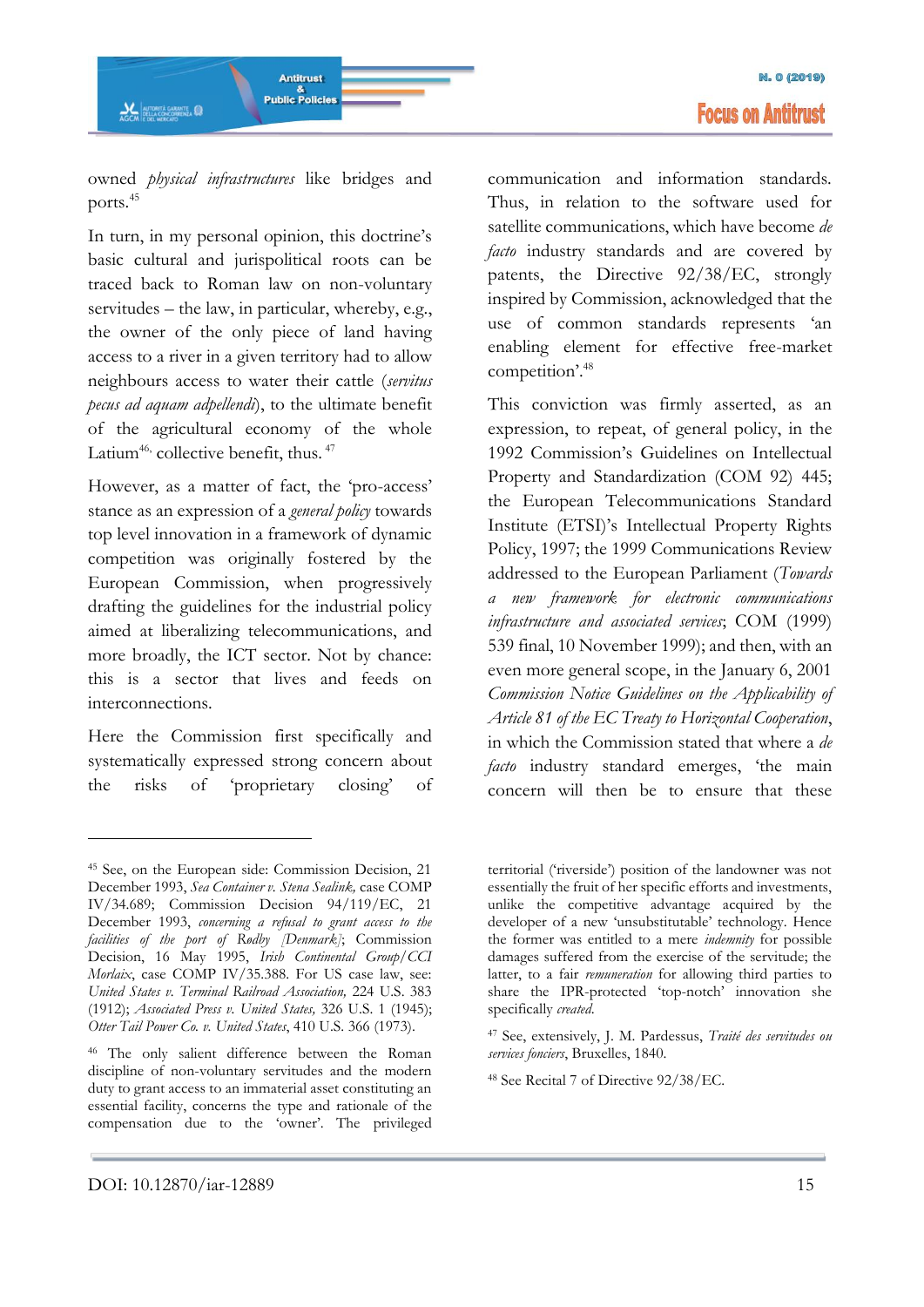### owned *physical infrastructures* like bridges and ports.<sup>45</sup>

In turn, in my personal opinion, this doctrine's basic cultural and jurispolitical roots can be traced back to Roman law on non-voluntary servitudes – the law, in particular, whereby, e.g., the owner of the only piece of land having access to a river in a given territory had to allow neighbours access to water their cattle (*servitus pecus ad aquam adpellendi*), to the ultimate benefit of the agricultural economy of the whole Latium<sup>46,</sup> collective benefit, thus. <sup>47</sup>

However, as a matter of fact, the 'pro-access' stance as an expression of a *general policy* towards top level innovation in a framework of dynamic competition was originally fostered by the European Commission, when progressively drafting the guidelines for the industrial policy aimed at liberalizing telecommunications, and more broadly, the ICT sector. Not by chance: this is a sector that lives and feeds on interconnections.

Here the Commission first specifically and systematically expressed strong concern about the risks of 'proprietary closing' of

communication and information standards. Thus, in relation to the software used for satellite communications, which have become *de facto* industry standards and are covered by patents, the Directive 92/38/EC, strongly inspired by Commission, acknowledged that the use of common standards represents 'an enabling element for effective free-market competition'.<sup>48</sup>

This conviction was firmly asserted, as an expression, to repeat, of general policy, in the 1992 Commission's Guidelines on Intellectual Property and Standardization (COM 92) 445; the European Telecommunications Standard Institute (ETSI)'s Intellectual Property Rights Policy, 1997; the 1999 Communications Review addressed to the European Parliament (*Towards a new framework for electronic communications infrastructure and associated services*; COM (1999) 539 final, 10 November 1999); and then, with an even more general scope, in the January 6, 2001 *Commission Notice Guidelines on the Applicability of Article 81 of the EC Treaty to Horizontal Cooperation*, in which the Commission stated that where a *de facto* industry standard emerges, 'the main concern will then be to ensure that these

<sup>45</sup> See, on the European side: Commission Decision, 21 December 1993, *Sea Container v. Stena Sealink,* case COMP IV/34.689; Commission Decision 94/119/EC, 21 December 1993, *concerning a refusal to grant access to the facilities of the port of Rødby [Denmark]*; Commission Decision, 16 May 1995, *Irish Continental Group/CCI Morlaix*, case COMP IV/35.388. For US case law, see: *United States v. Terminal Railroad Association,* 224 U.S. 383 (1912); *Associated Press v. United States,* 326 U.S. 1 (1945); *Otter Tail Power Co. v. United States*, 410 U.S. 366 (1973).

<sup>46</sup> The only salient difference between the Roman discipline of non-voluntary servitudes and the modern duty to grant access to an immaterial asset constituting an essential facility, concerns the type and rationale of the compensation due to the 'owner'. The privileged

territorial ('riverside') position of the landowner was not essentially the fruit of her specific efforts and investments, unlike the competitive advantage acquired by the developer of a new 'unsubstitutable' technology. Hence the former was entitled to a mere *indemnity* for possible damages suffered from the exercise of the servitude; the latter, to a fair *remuneration* for allowing third parties to share the IPR-protected 'top-notch' innovation she specifically *created*.

<sup>47</sup> See, extensively, J. M. Pardessus, *Traité des servitudes ou services fonciers*, Bruxelles, 1840.

<sup>48</sup> See Recital 7 of Directive 92/38/EC.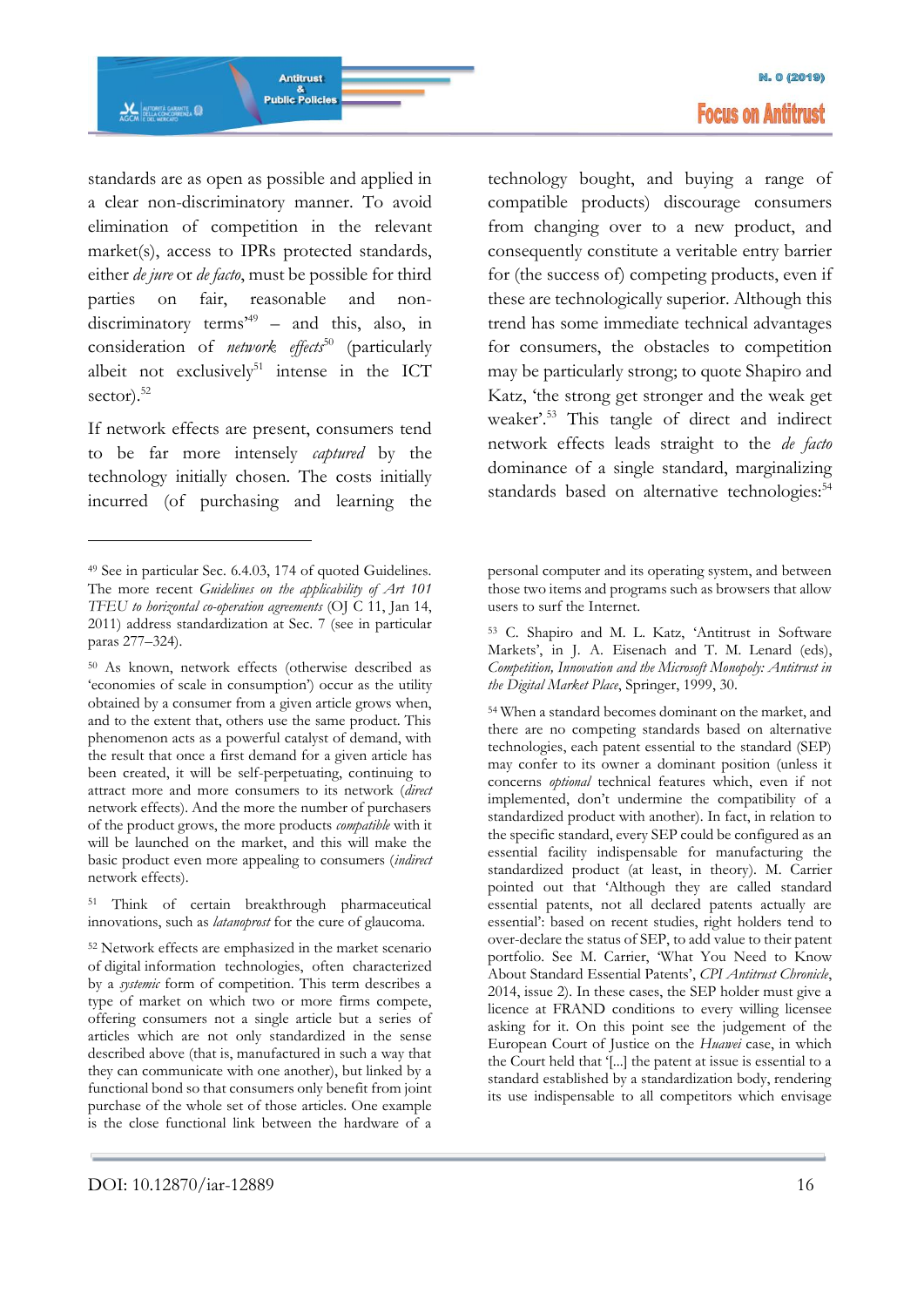standards are as open as possible and applied in a clear non-discriminatory manner. To avoid elimination of competition in the relevant market(s), access to IPRs protected standards, either *de jure* or *de facto*, must be possible for third parties on fair, reasonable and nondiscriminatory terms'<sup>49</sup> – and this, also, in consideration of *network effects*<sup>50</sup> (particularly albeit not exclusively<sup>51</sup> intense in the ICT sector). $52$ 

If network effects are present, consumers tend to be far more intensely *captured* by the technology initially chosen. The costs initially incurred (of purchasing and learning the

-

<sup>51</sup> Think of certain breakthrough pharmaceutical innovations, such as *latanoprost* for the cure of glaucoma.

technology bought, and buying a range of compatible products) discourage consumers from changing over to a new product, and consequently constitute a veritable entry barrier for (the success of) competing products, even if these are technologically superior. Although this trend has some immediate technical advantages for consumers, the obstacles to competition may be particularly strong; to quote Shapiro and Katz, 'the strong get stronger and the weak get weaker'.<sup>53</sup> This tangle of direct and indirect network effects leads straight to the *de facto* dominance of a single standard, marginalizing standards based on alternative technologies:<sup>54</sup>

<sup>54</sup> When a standard becomes dominant on the market, and there are no competing standards based on alternative technologies, each patent essential to the standard (SEP) may confer to its owner a dominant position (unless it concerns *optional* technical features which, even if not implemented, don't undermine the compatibility of a standardized product with another). In fact, in relation to the specific standard, every SEP could be configured as an essential facility indispensable for manufacturing the standardized product (at least, in theory). M. Carrier pointed out that 'Although they are called standard essential patents, not all declared patents actually are essential': based on recent studies, right holders tend to over-declare the status of SEP, to add value to their patent portfolio. See M. Carrier, 'What You Need to Know About Standard Essential Patents', *CPI Antitrust Chronicle*, 2014, issue 2). In these cases, the SEP holder must give a licence at FRAND conditions to every willing licensee asking for it. On this point see the judgement of the European Court of Justice on the *Huawei* case, in which the Court held that '[...] the patent at issue is essential to a standard established by a standardization body, rendering its use indispensable to all competitors which envisage

<sup>49</sup> See in particular Sec. 6.4.03, 174 of quoted Guidelines. The more recent *Guidelines on the applicability of Art 101 TFEU to horizontal co-operation agreements* (OJ C 11, Jan 14, 2011) address standardization at Sec. 7 (see in particular paras 277–324).

<sup>50</sup> As known, network effects (otherwise described as 'economies of scale in consumption') occur as the utility obtained by a consumer from a given article grows when, and to the extent that, others use the same product. This phenomenon acts as a powerful catalyst of demand, with the result that once a first demand for a given article has been created, it will be self-perpetuating, continuing to attract more and more consumers to its network (*direct*  network effects). And the more the number of purchasers of the product grows, the more products *compatible* with it will be launched on the market, and this will make the basic product even more appealing to consumers (*indirect*  network effects).

<sup>52</sup> Network effects are emphasized in the market scenario of digital information technologies, often characterized by a *systemic* form of competition. This term describes a type of market on which two or more firms compete, offering consumers not a single article but a series of articles which are not only standardized in the sense described above (that is, manufactured in such a way that they can communicate with one another), but linked by a functional bond so that consumers only benefit from joint purchase of the whole set of those articles. One example is the close functional link between the hardware of a

personal computer and its operating system, and between those two items and programs such as browsers that allow users to surf the Internet.

<sup>53</sup> C. Shapiro and M. L. Katz, 'Antitrust in Software Markets', in J. A. Eisenach and T. M. Lenard (eds), *Competition, Innovation and the Microsoft Monopoly: Antitrust in the Digital Market Place*, Springer, 1999, 30.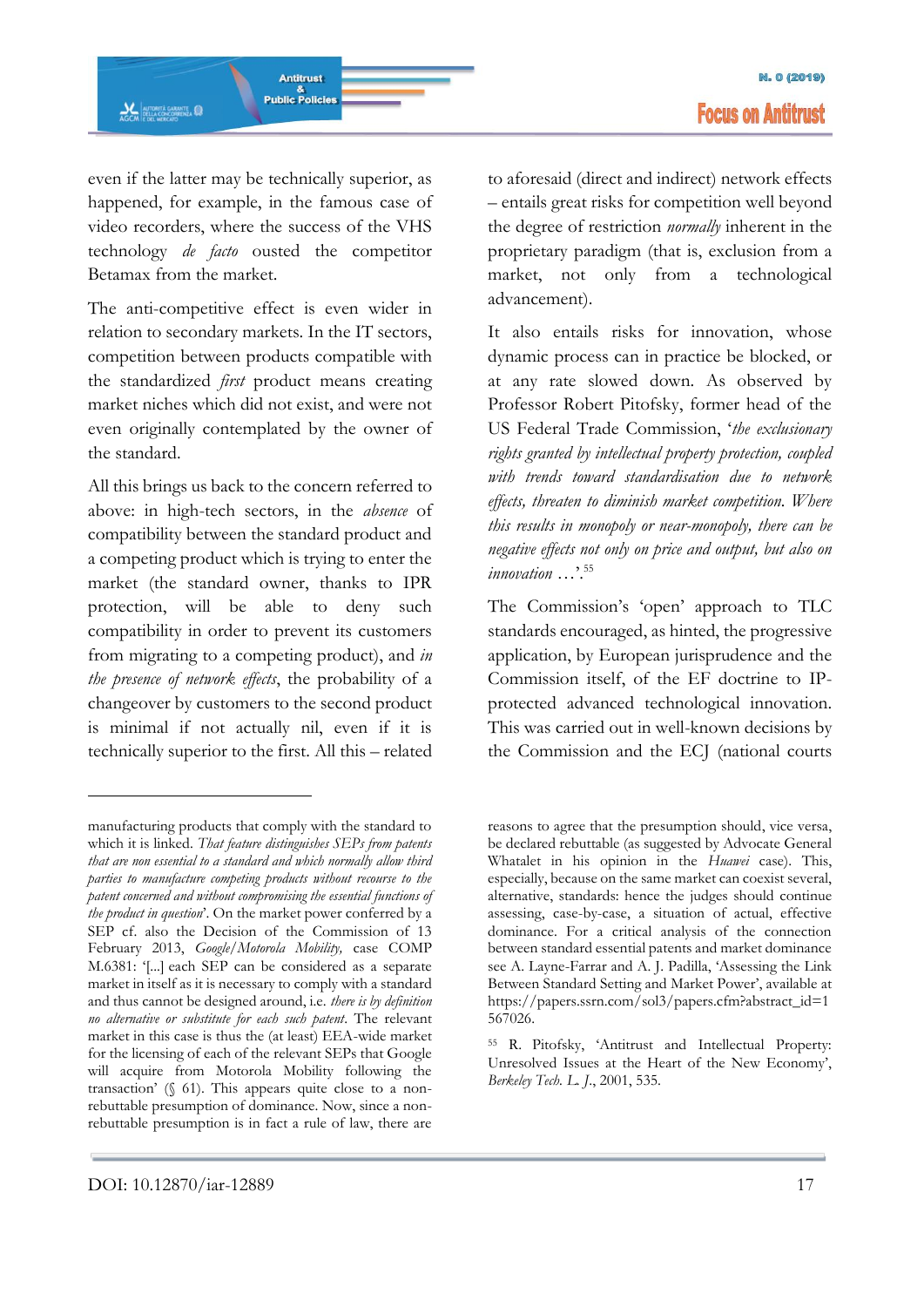even if the latter may be technically superior, as happened, for example, in the famous case of video recorders, where the success of the VHS technology *de facto* ousted the competitor Betamax from the market.

The anti-competitive effect is even wider in relation to secondary markets. In the IT sectors, competition between products compatible with the standardized *first* product means creating market niches which did not exist, and were not even originally contemplated by the owner of the standard.

All this brings us back to the concern referred to above: in high-tech sectors, in the *absence* of compatibility between the standard product and a competing product which is trying to enter the market (the standard owner, thanks to IPR protection, will be able to deny such compatibility in order to prevent its customers from migrating to a competing product), and *in the presence of network effects*, the probability of a changeover by customers to the second product is minimal if not actually nil, even if it is technically superior to the first. All this – related to aforesaid (direct and indirect) network effects – entails great risks for competition well beyond the degree of restriction *normally* inherent in the proprietary paradigm (that is, exclusion from a market, not only from a technological advancement).

It also entails risks for innovation, whose dynamic process can in practice be blocked, or at any rate slowed down. As observed by Professor Robert Pitofsky, former head of the US Federal Trade Commission, '*the exclusionary rights granted by intellectual property protection, coupled with trends toward standardisation due to network effects, threaten to diminish market competition. Where this results in monopoly or near-monopoly, there can be negative effects not only on price and output, but also on innovation* , 55

The Commission's 'open' approach to TLC standards encouraged, as hinted, the progressive application, by European jurisprudence and the Commission itself, of the EF doctrine to IPprotected advanced technological innovation. This was carried out in well-known decisions by the Commission and the ECJ (national courts

<sup>55</sup> R. Pitofsky, 'Antitrust and Intellectual Property: Unresolved Issues at the Heart of the New Economy', *Berkeley Tech. L. J*., 2001, 535.

manufacturing products that comply with the standard to which it is linked. *That feature distinguishes SEPs from patents that are non essential to a standard and which normally allow third parties to manufacture competing products without recourse to the patent concerned and without compromising the essential functions of the product in question*'. On the market power conferred by a SEP cf. also the Decision of the Commission of 13 February 2013, *Google/Motorola Mobility,* case COMP M.6381: '[...] each SEP can be considered as a separate market in itself as it is necessary to comply with a standard and thus cannot be designed around, i.e. *there is by definition no alternative or substitute for each such patent*. The relevant market in this case is thus the (at least) EEA-wide market for the licensing of each of the relevant SEPs that Google will acquire from Motorola Mobility following the transaction' (§ 61). This appears quite close to a nonrebuttable presumption of dominance. Now, since a nonrebuttable presumption is in fact a rule of law, there are

reasons to agree that the presumption should, vice versa, be declared rebuttable (as suggested by Advocate General Whatalet in his opinion in the *Huawei* case). This, especially, because on the same market can coexist several, alternative, standards: hence the judges should continue assessing, case-by-case, a situation of actual, effective dominance. For a critical analysis of the connection between standard essential patents and market dominance see A. Layne-Farrar and A. J. Padilla, 'Assessing the Link Between Standard Setting and Market Power', available at https://papers.ssrn.com/sol3/papers.cfm?abstract\_id=1 567026.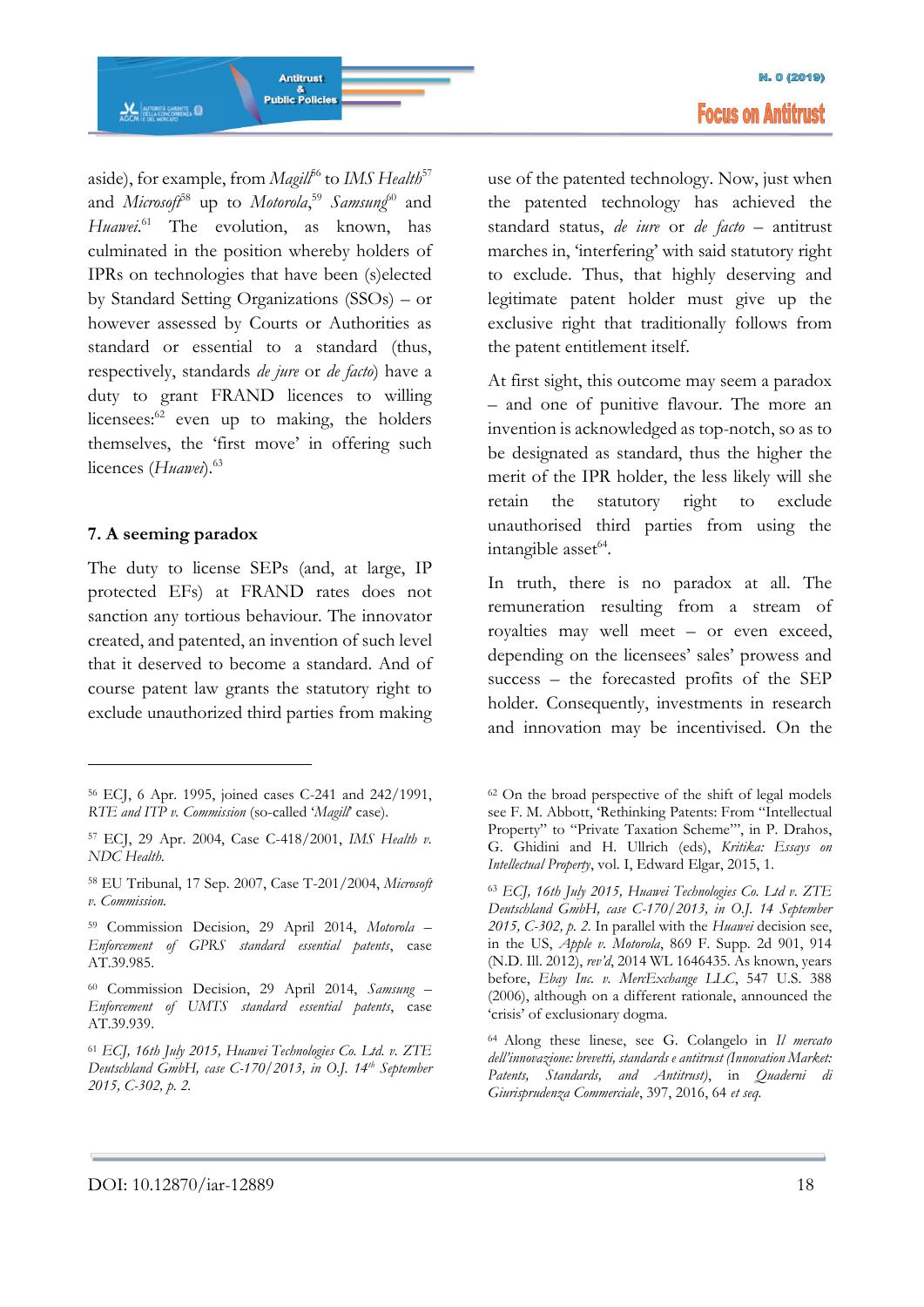aside), for example, from *Magill*<sup>56</sup> to *IMS Health*<sup>57</sup> and *Microsoft*<sup>58</sup> up to *Motorola*,<sup>59</sup> *Samsung*<sup>60</sup> and Huawei.<sup>61</sup> The evolution, as known, has culminated in the position whereby holders of IPRs on technologies that have been (s)elected by Standard Setting Organizations (SSOs) – or however assessed by Courts or Authorities as standard or essential to a standard (thus, respectively, standards *de jure* or *de facto*) have a duty to grant FRAND licences to willing licensees: $62$  even up to making, the holders themselves, the 'first move' in offering such licences (*Huawei*).<sup>63</sup>

**Antitrust Public Policies** 

#### **7. A seeming paradox**

**AGCM**<br>AGCM EDELA CONCORRENZA

<u>.</u>

The duty to license SEPs (and, at large, IP protected EFs) at FRAND rates does not sanction any tortious behaviour. The innovator created, and patented, an invention of such level that it deserved to become a standard. And of course patent law grants the statutory right to exclude unauthorized third parties from making

use of the patented technology. Now, just when the patented technology has achieved the standard status, *de iure* or *de facto* – antitrust marches in, 'interfering' with said statutory right to exclude. Thus, that highly deserving and legitimate patent holder must give up the exclusive right that traditionally follows from the patent entitlement itself.

At first sight, this outcome may seem a paradox – and one of punitive flavour. The more an invention is acknowledged as top-notch, so as to be designated as standard, thus the higher the merit of the IPR holder, the less likely will she retain the statutory right to exclude unauthorised third parties from using the intangible asset<sup>64</sup>.

In truth, there is no paradox at all. The remuneration resulting from a stream of royalties may well meet – or even exceed, depending on the licensees' sales' prowess and success – the forecasted profits of the SEP holder. Consequently, investments in research and innovation may be incentivised. On the

<sup>56</sup> ECJ, 6 Apr. 1995, joined cases C-241 and 242/1991, *RTE and ITP v. Commission* (so-called '*Magill*' case).

<sup>57</sup> ECJ, 29 Apr. 2004, Case C-418/2001, *IMS Health v. NDC Health.*

<sup>58</sup> EU Tribunal, 17 Sep. 2007, Case T-201/2004, *Microsoft v. Commission.*

<sup>59</sup> Commission Decision, 29 April 2014, *Motorola – Enforcement of GPRS standard essential patents*, case AT.39.985.

<sup>60</sup> Commission Decision, 29 April 2014, *Samsung – Enforcement of UMTS standard essential patents*, case AT.39.939.

<sup>61</sup> *ECJ, 16th July 2015, Huawei Technologies Co. Ltd. v. ZTE Deutschland GmbH, case C-170/2013, in O.J. 14th September 2015, C-302, p. 2.*

<sup>62</sup> On the broad perspective of the shift of legal models see F. M. Abbott, 'Rethinking Patents: From "Intellectual Property" to "Private Taxation Scheme"', in P. Drahos, G. Ghidini and H. Ullrich (eds), *Kritika: Essays on Intellectual Property*, vol. I, Edward Elgar, 2015, 1.

<sup>63</sup> *ECJ, 16th July 2015, Huawei Technologies Co. Ltd v. ZTE Deutschland GmbH, case C-170/2013, in O.J. 14 September 2015, C-302, p. 2.* In parallel with the *Huawei* decision see, in the US, *Apple v. Motorola*, 869 F. Supp. 2d 901, 914 (N.D. Ill. 2012), *rev'd*, 2014 WL 1646435. As known, years before, *Ebay Inc. v. MercExchange LLC*, 547 U.S. 388 (2006), although on a different rationale, announced the 'crisis' of exclusionary dogma.

<sup>64</sup> Along these linese, see G. Colangelo in *Il mercato dell'innovazione: brevetti, standards e antitrust (Innovation Market: Patents, Standards, and Antitrust)*, in *Quaderni di Giurisprudenza Commerciale*, 397, 2016, 64 *et seq.*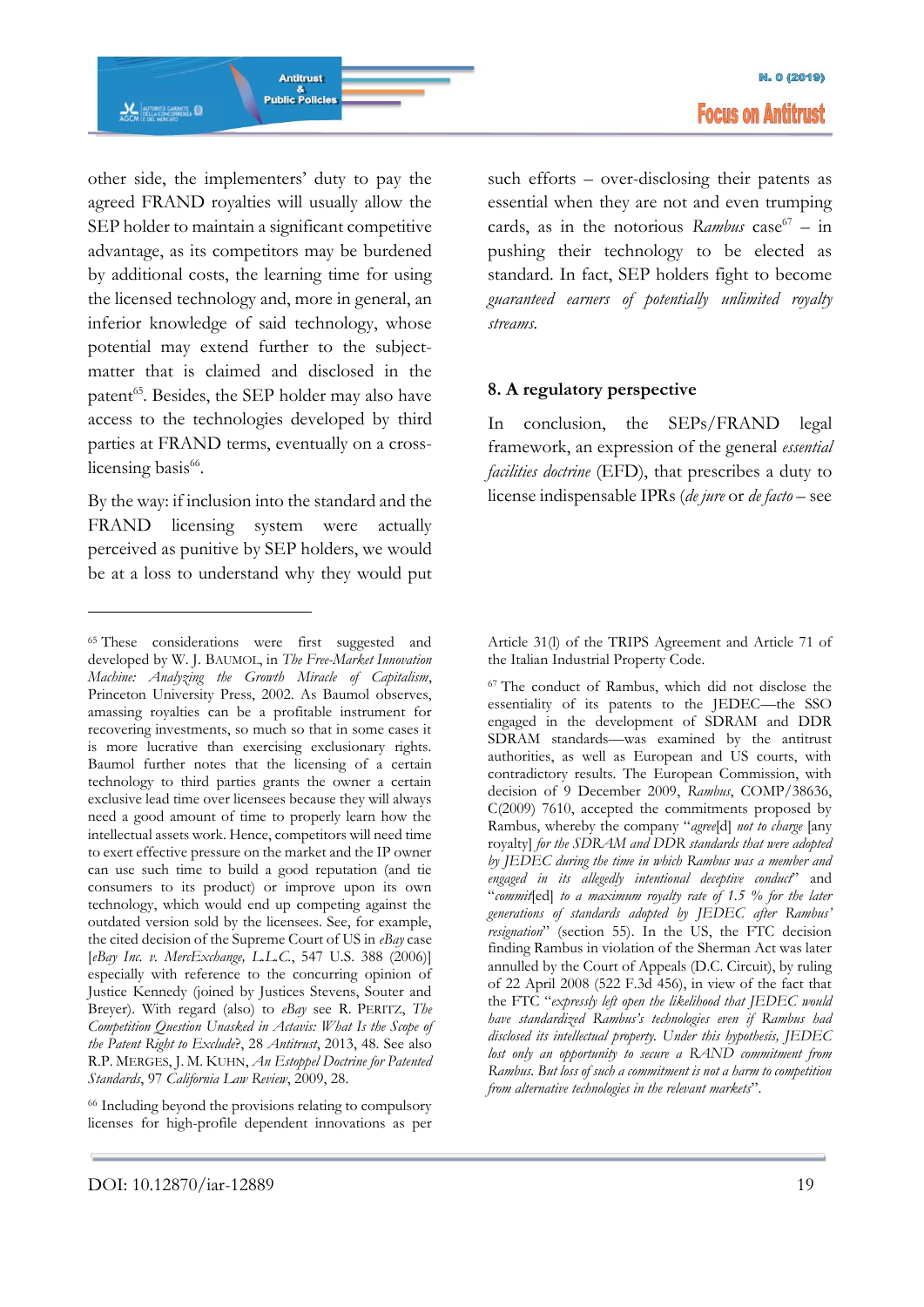other side, the implementers' duty to pay the agreed FRAND royalties will usually allow the SEP holder to maintain a significant competitive advantage, as its competitors may be burdened by additional costs, the learning time for using the licensed technology and, more in general, an inferior knowledge of said technology, whose potential may extend further to the subjectmatter that is claimed and disclosed in the patent<sup>65</sup>. Besides, the SEP holder may also have access to the technologies developed by third parties at FRAND terms, eventually on a crosslicensing basis<sup>66</sup>.

By the way: if inclusion into the standard and the FRAND licensing system were actually perceived as punitive by SEP holders, we would be at a loss to understand why they would put

-

<sup>66</sup> Including beyond the provisions relating to compulsory licenses for high-profile dependent innovations as per such efforts – over-disclosing their patents as essential when they are not and even trumping cards, as in the notorious *Rambus* case<sup>67</sup> - in pushing their technology to be elected as standard. In fact, SEP holders fight to become *guaranteed earners of potentially unlimited royalty streams.*

#### **8. A regulatory perspective**

In conclusion, the SEPs/FRAND legal framework, an expression of the general *essential facilities doctrine* (EFD), that prescribes a duty to license indispensable IPRs (*de jure* or *de facto* – see

Article 31(l) of the TRIPS Agreement and Article 71 of the Italian Industrial Property Code.

<sup>67</sup> The conduct of Rambus, which did not disclose the essentiality of its patents to the JEDEC—the SSO engaged in the development of SDRAM and DDR SDRAM standards—was examined by the antitrust authorities, as well as European and US courts, with contradictory results. The European Commission, with decision of 9 December 2009, *Rambus*, COMP/38636, C(2009) 7610, accepted the commitments proposed by Rambus, whereby the company "*agree*[d] *not to charge* [any royalty] *for the SDRAM and DDR standards that were adopted by JEDEC during the time in which Rambus was a member and engaged in its allegedly intentional deceptive conduct*" and "*commit*[ed] *to a maximum royalty rate of 1.5 % for the later generations of standards adopted by JEDEC after Rambus' resignation*" (section 55). In the US, the FTC decision finding Rambus in violation of the Sherman Act was later annulled by the Court of Appeals (D.C. Circuit), by ruling of 22 April 2008 (522 F.3d 456), in view of the fact that the FTC "*expressly left open the likelihood that JEDEC would have standardized Rambus's technologies even if Rambus had disclosed its intellectual property. Under this hypothesis, JEDEC lost only an opportunity to secure a RAND commitment from Rambus. But loss of such a commitment is not a harm to competition from alternative technologies in the relevant markets*".

<sup>65</sup> These considerations were first suggested and developed by W. J. BAUMOL, in *The Free-Market Innovation Machine: Analyzing the Growth Miracle of Capitalism*, Princeton University Press, 2002. As Baumol observes, amassing royalties can be a profitable instrument for recovering investments, so much so that in some cases it is more lucrative than exercising exclusionary rights. Baumol further notes that the licensing of a certain technology to third parties grants the owner a certain exclusive lead time over licensees because they will always need a good amount of time to properly learn how the intellectual assets work. Hence, competitors will need time to exert effective pressure on the market and the IP owner can use such time to build a good reputation (and tie consumers to its product) or improve upon its own technology, which would end up competing against the outdated version sold by the licensees. See, for example, the cited decision of the Supreme Court of US in *eBay* case [*eBay Inc. v. MercExchange, L.L.C.*, 547 U.S. 388 (2006)] especially with reference to the concurring opinion of Justice Kennedy (joined by Justices Stevens, Souter and Breyer). With regard (also) to *eBay* see R. PERITZ, *The Competition Question Unasked in Actavis: What Is the Scope of the Patent Right to Exclude*?, 28 *Antitrust*, 2013, 48. See also R.P. MERGES, J. M. KUHN, *An Estoppel Doctrine for Patented Standards*, 97 *California Law Review*, 2009, 28.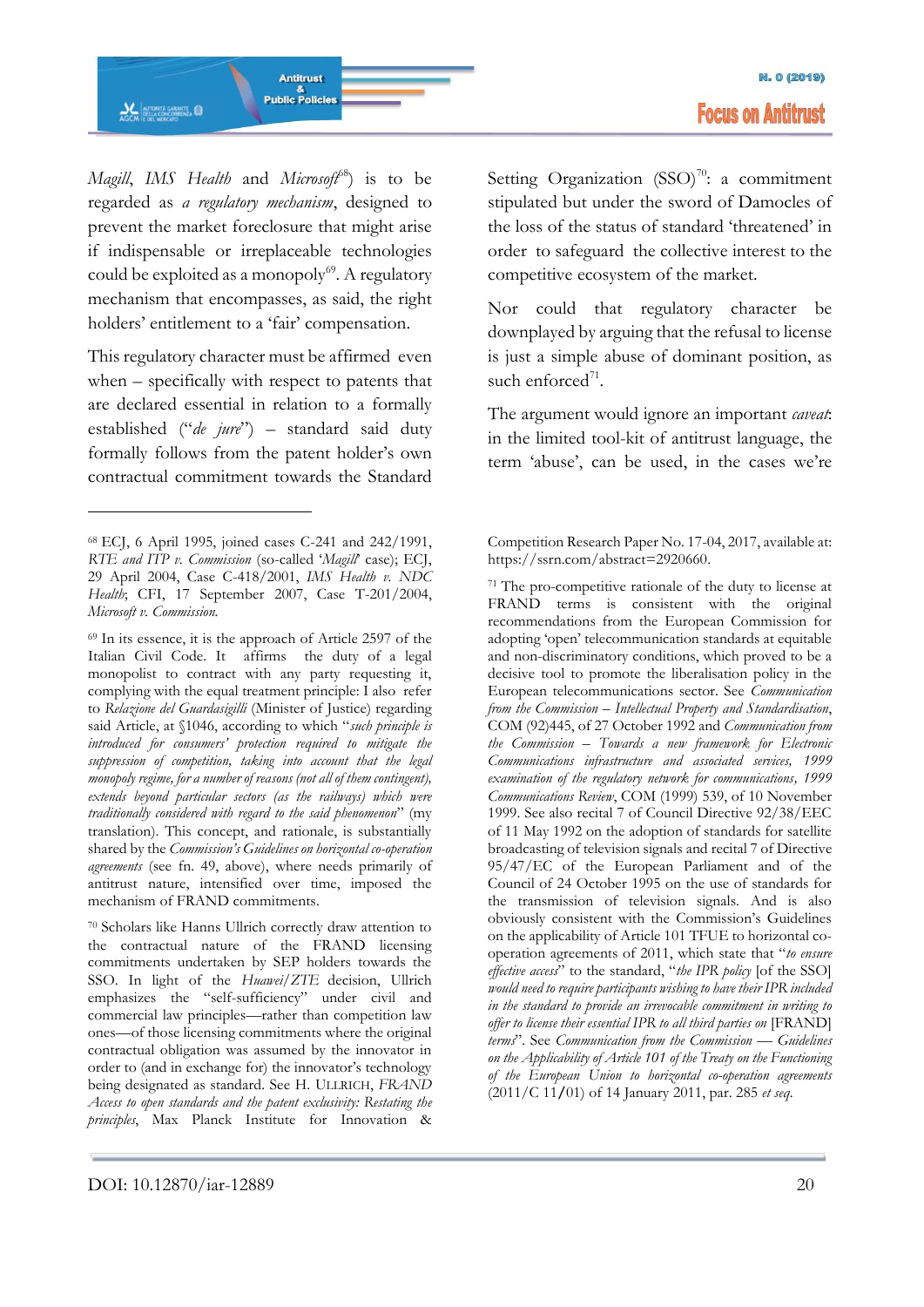

*Magill*, *IMS Health* and *Microsoft*<sup>68</sup>) is to be regarded as *a regulatory mechanism*, designed to prevent the market foreclosure that might arise if indispensable or irreplaceable technologies could be exploited as a monopoly<sup>69</sup>. A regulatory mechanism that encompasses, as said, the right holders' entitlement to a 'fair' compensation.

This regulatory character must be affirmed even when – specifically with respect to patents that are declared essential in relation to a formally established ("*de jure*") – standard said duty formally follows from the patent holder's own contractual commitment towards the Standard

-

<sup>70</sup> Scholars like Hanns Ullrich correctly draw attention to the contractual nature of the FRAND licensing commitments undertaken by SEP holders towards the SSO. In light of the *Huawei/ZTE* decision, Ullrich emphasizes the "self-sufficiency" under civil and commercial law principles—rather than competition law ones—of those licensing commitments where the original contractual obligation was assumed by the innovator in order to (and in exchange for) the innovator's technology being designated as standard. See H. ULLRICH, *FRAND Access to open standards and the patent exclusivity: Restating the principles*, Max Planck Institute for Innovation & Setting Organization  $(SSO)^{70}$ : a commitment stipulated but under the sword of Damocles of the loss of the status of standard 'threatened' in order to safeguard the collective interest to the competitive ecosystem of the market.

Nor could that regulatory character be downplayed by arguing that the refusal to license is just a simple abuse of dominant position, as such enforced<sup>71</sup>.

The argument would ignore an important *caveat*: in the limited tool-kit of antitrust language, the term 'abuse', can be used, in the cases we're

Competition Research Paper No. 17-04, 2017, available at: https://ssrn.com/abstract=2920660.

<sup>68</sup> ECJ, 6 April 1995, joined cases C-241 and 242/1991, *RTE and ITP v. Commission* (so-called '*Magill*' case); ECJ, 29 April 2004, Case C-418/2001, *IMS Health v. NDC Health*; CFI, 17 September 2007, Case T-201/2004, *Microsoft v. Commission.*

<sup>69</sup> In its essence, it is the approach of Article 2597 of the Italian Civil Code. It affirms the duty of a legal monopolist to contract with any party requesting it, complying with the equal treatment principle: I also refer to *Relazione del Guardasigilli* (Minister of Justice) regarding said Article, at §1046, according to which "*such principle is introduced for consumers' protection required to mitigate the suppression of competition, taking into account that the legal monopoly regime, for a number of reasons (not all of them contingent), extends beyond particular sectors (as the railways) which were traditionally considered with regard to the said phenomenon*" (my translation). This concept, and rationale, is substantially shared by the *Commission's Guidelines on horizontal co-operation agreements* (see fn. 49, above), where needs primarily of antitrust nature, intensified over time, imposed the mechanism of FRAND commitments.

<sup>71</sup> The pro-competitive rationale of the duty to license at FRAND terms is consistent with the original recommendations from the European Commission for adopting 'open' telecommunication standards at equitable and non-discriminatory conditions, which proved to be a decisive tool to promote the liberalisation policy in the European telecommunications sector. See *Communication from the Commission – Intellectual Property and Standardisation*, COM (92)445, of 27 October 1992 and *Communication from the Commission – Towards a new framework for Electronic Communications infrastructure and associated services, 1999 examination of the regulatory network for communications, 1999 Communications Review*, COM (1999) 539, of 10 November 1999. See also recital 7 of Council Directive 92/38/EEC of 11 May 1992 on the adoption of standards for satellite broadcasting of television signals and recital 7 of Directive 95/47/EC of the European Parliament and of the Council of 24 October 1995 on the use of standards for the transmission of television signals. And is also obviously consistent with the Commission's Guidelines on the applicability of Article 101 TFUE to horizontal cooperation agreements of 2011, which state that "*to ensure effective access*" to the standard, "*the IPR policy* [of the SSO] *would need to require participants wishing to have their IPR included in the standard to provide an irrevocable commitment in writing to offer to license their essential IPR to all third parties on* [FRAND] *terms*". See *Communication from the Commission — Guidelines on the Applicability of Article 101 of the Treaty on the Functioning of the European Union to horizontal co-operation agreements* (2011/C 11**/**01) of 14 January 2011, par. 285 *et seq*.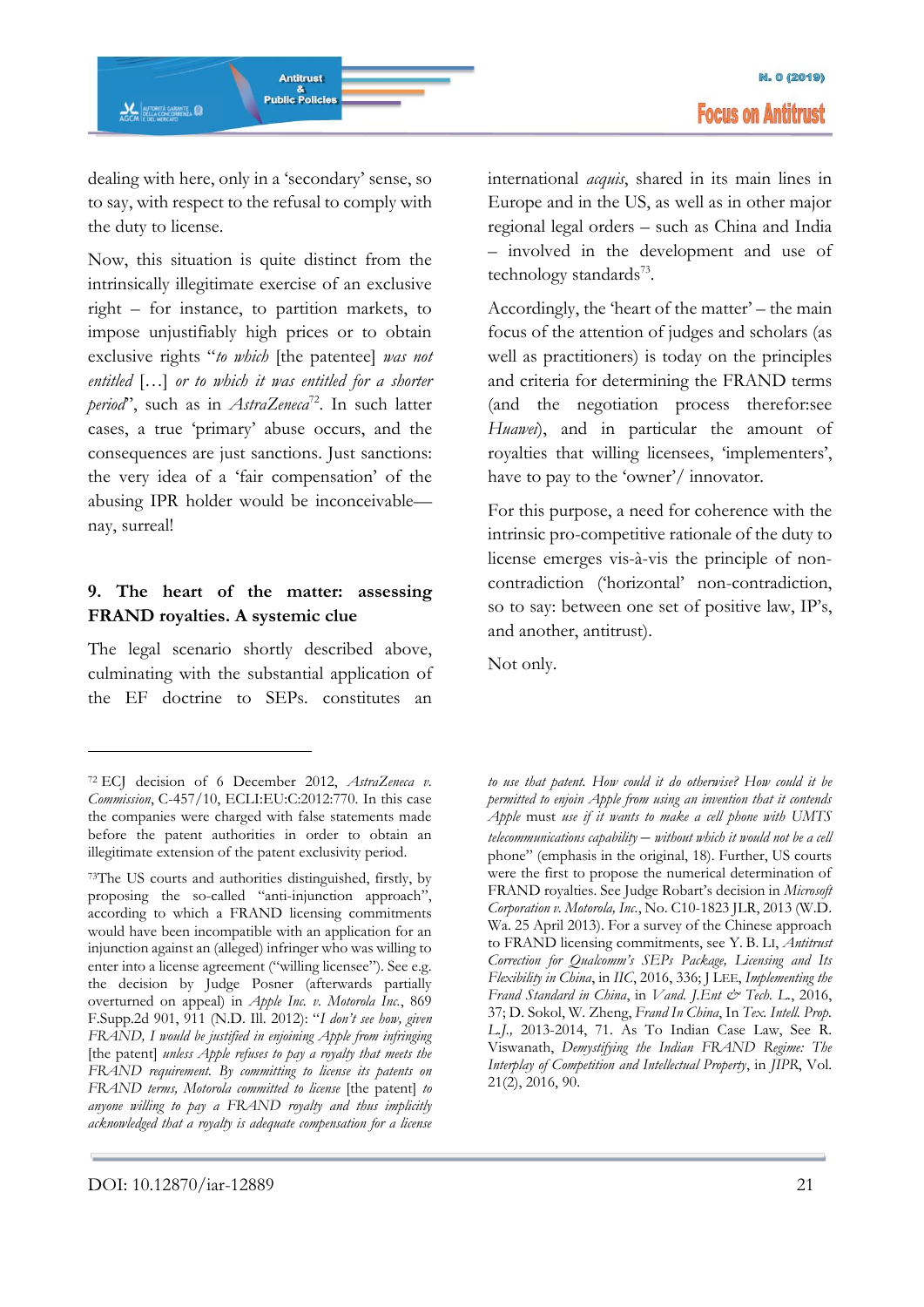dealing with here, only in a 'secondary' sense, so to say, with respect to the refusal to comply with the duty to license.

Now, this situation is quite distinct from the intrinsically illegitimate exercise of an exclusive right – for instance, to partition markets, to impose unjustifiably high prices or to obtain exclusive rights "*to which* [the patentee] *was not entitled* […] *or to which it was entitled for a shorter*  period'', such as in *AstraZeneca*<sup>72</sup>. In such latter cases, a true 'primary' abuse occurs, and the consequences are just sanctions. Just sanctions: the very idea of a 'fair compensation' of the abusing IPR holder would be inconceivable nay, surreal!

# **9. The heart of the matter: assessing FRAND royalties. A systemic clue**

The legal scenario shortly described above, culminating with the substantial application of the EF doctrine to SEPs. constitutes an

international *acquis*, shared in its main lines in Europe and in the US, as well as in other major regional legal orders – such as China and India – involved in the development and use of technology standards<sup>73</sup>.

Accordingly, the 'heart of the matter' – the main focus of the attention of judges and scholars (as well as practitioners) is today on the principles and criteria for determining the FRAND terms (and the negotiation process therefor:see *Huawei*), and in particular the amount of royalties that willing licensees, 'implementers', have to pay to the 'owner'/ innovator.

For this purpose, a need for coherence with the intrinsic pro-competitive rationale of the duty to license emerges vis-à-vis the principle of noncontradiction ('horizontal' non-contradiction, so to say: between one set of positive law, IP's, and another, antitrust).

Not only.

*to use that patent. How could it do otherwise? How could it be permitted to enjoin Apple from using an invention that it contends Apple* must *use if it wants to make a cell phone with UMTS telecommunications capability* – *without which it would not be a cell*  phone" (emphasis in the original, 18). Further, US courts were the first to propose the numerical determination of FRAND royalties. See Judge Robart's decision in *Microsoft Corporation v. Motorola, Inc.*, No. C10-1823 JLR, 2013 (W.D. Wa. 25 April 2013). For a survey of the Chinese approach to FRAND licensing commitments, see Y. B. LI, *Antitrust Correction for Qualcomm's SEPs Package, Licensing and Its Flexibility in China*, in *IIC*, 2016, 336; J LEE, *Implementing the Frand Standard in China*, in *Vand. J.Ent & Tech. L.*, 2016, 37; D. Sokol, W. Zheng, *Frand In China*, In *Tex. Intell. Prop. L.J.,* 2013-2014, 71. As To Indian Case Law, See R. Viswanath, *Demystifying the Indian FRAND Regime: The Interplay of Competition and Intellectual Property*, in *JIPR*, Vol. 21(2), 2016, 90.

-

<sup>72</sup> ECJ decision of 6 December 2012, *AstraZeneca v. Commission*, C-457/10, ECLI:EU:C:2012:770. In this case the companies were charged with false statements made before the patent authorities in order to obtain an illegitimate extension of the patent exclusivity period.

<sup>73</sup>The US courts and authorities distinguished, firstly, by proposing the so-called "anti-injunction approach", according to which a FRAND licensing commitments would have been incompatible with an application for an injunction against an (alleged) infringer who was willing to enter into a license agreement ("willing licensee"). See e.g. the decision by Judge Posner (afterwards partially overturned on appeal) in *Apple Inc. v. Motorola Inc.*, 869 F.Supp.2d 901, 911 (N.D. Ill. 2012): "*I don't see how, given FRAND, I would be justified in enjoining Apple from infringing*  [the patent] *unless Apple refuses to pay a royalty that meets the FRAND requirement. By committing to license its patents on FRAND terms, Motorola committed to license* [the patent] *to anyone willing to pay a FRAND royalty and thus implicitly acknowledged that a royalty is adequate compensation for a license*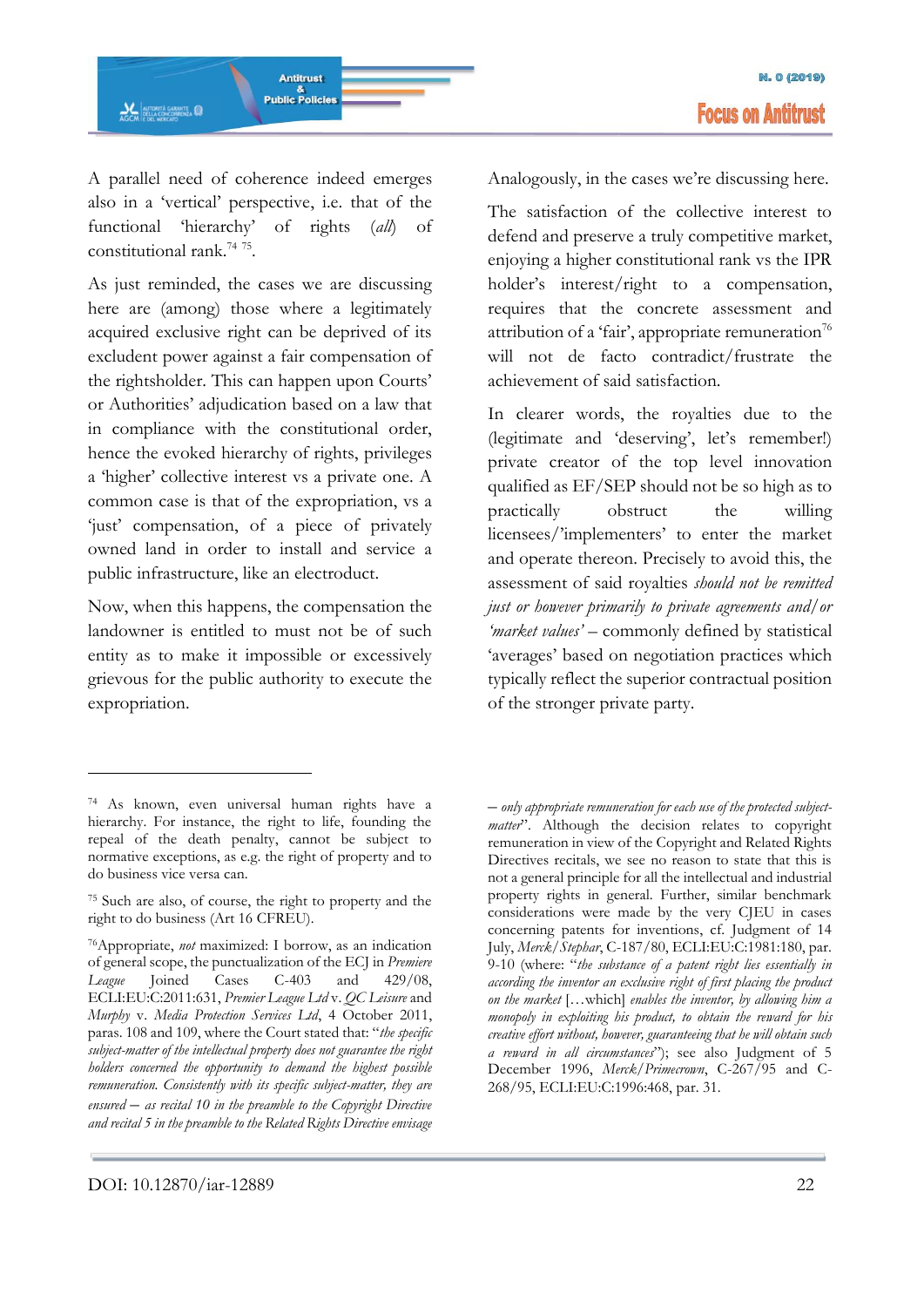A parallel need of coherence indeed emerges also in a 'vertical' perspective, i.e. that of the functional 'hierarchy' of rights (*all*) of constitutional rank.<sup>74</sup> <sup>75</sup> .

As just reminded, the cases we are discussing here are (among) those where a legitimately acquired exclusive right can be deprived of its excludent power against a fair compensation of the rightsholder. This can happen upon Courts' or Authorities' adjudication based on a law that in compliance with the constitutional order, hence the evoked hierarchy of rights, privileges a 'higher' collective interest vs a private one. A common case is that of the expropriation, vs a 'just' compensation, of a piece of privately owned land in order to install and service a public infrastructure, like an electroduct.

Now, when this happens, the compensation the landowner is entitled to must not be of such entity as to make it impossible or excessively grievous for the public authority to execute the expropriation.

Analogously, in the cases we're discussing here.

The satisfaction of the collective interest to defend and preserve a truly competitive market, enjoying a higher constitutional rank vs the IPR holder's interest/right to a compensation, requires that the concrete assessment and attribution of a 'fair', appropriate remuneration<sup>76</sup> will not de facto contradict/frustrate the achievement of said satisfaction.

In clearer words, the royalties due to the (legitimate and 'deserving', let's remember!) private creator of the top level innovation qualified as EF/SEP should not be so high as to practically obstruct the willing licensees/'implementers' to enter the market and operate thereon. Precisely to avoid this, the assessment of said royalties *should not be remitted just or however primarily to private agreements and/or 'market values'* – commonly defined by statistical 'averages' based on negotiation practices which typically reflect the superior contractual position of the stronger private party.

– *only appropriate remuneration for each use of the protected subjectmatter*". Although the decision relates to copyright

remuneration in view of the Copyright and Related Rights Directives recitals, we see no reason to state that this is not a general principle for all the intellectual and industrial property rights in general. Further, similar benchmark considerations were made by the very CJEU in cases concerning patents for inventions, cf. Judgment of 14 July, *Merck/Stephar*, C-187/80, ECLI:EU:C:1981:180, par. 9-10 (where: "*the substance of a patent right lies essentially in according the inventor an exclusive right of first placing the product on the market* […which] *enables the inventor, by allowing him a monopoly in exploiting his product, to obtain the reward for his creative effort without, however, guaranteeing that he will obtain such a reward in all circumstances*"); see also Judgment of 5 December 1996, *Merck/Primecrown*, C-267/95 and C-268/95, ECLI:EU:C:1996:468, par. 31.

<sup>74</sup> As known, even universal human rights have a hierarchy. For instance, the right to life, founding the repeal of the death penalty, cannot be subject to normative exceptions, as e.g. the right of property and to do business vice versa can.

<sup>75</sup> Such are also, of course, the right to property and the right to do business (Art 16 CFREU).

<sup>76</sup>Appropriate, *not* maximized: I borrow, as an indication of general scope, the punctualization of the ECJ in *Premiere League* Joined Cases C-403 and 429/08, ECLI:EU:C:2011:631, *Premier League Ltd* v. *QC Leisure* and *Murphy* v. *Media Protection Services Ltd*, 4 October 2011, paras. 108 and 109, where the Court stated that: "*the specific subject-matter of the intellectual property does not guarantee the right holders concerned the opportunity to demand the highest possible remuneration. Consistently with its specific subject-matter, they are ensured* – *as recital 10 in the preamble to the Copyright Directive and recital 5 in the preamble to the Related Rights Directive envisage*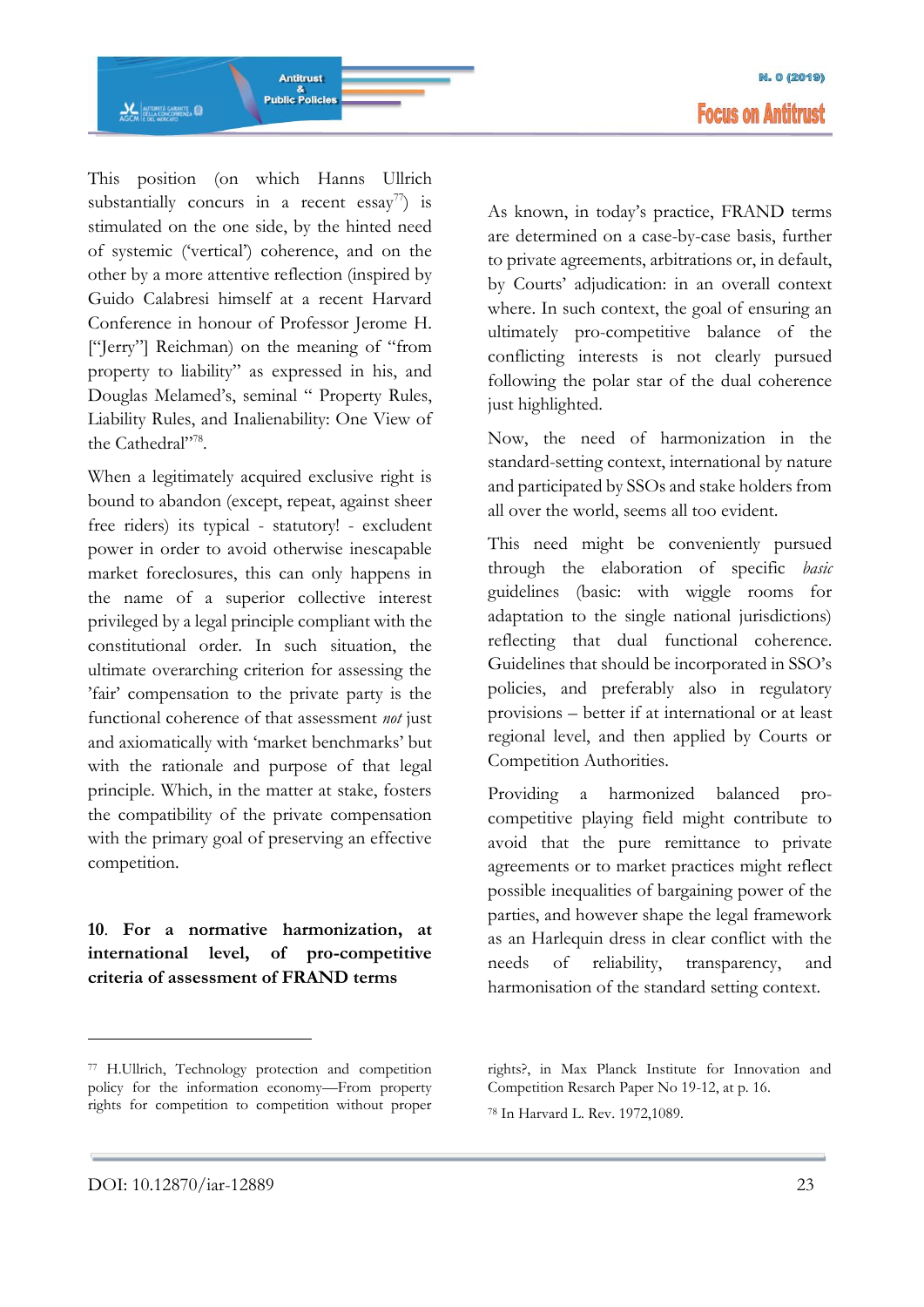Antitrust &<br>Public Policies **AGCM**<br>AGCM E DEL MERCATO

This position (on which Hanns Ullrich substantially concurs in a recent  $\text{essav}^{77}$  is stimulated on the one side, by the hinted need of systemic ('vertical') coherence, and on the other by a more attentive reflection (inspired by Guido Calabresi himself at a recent Harvard Conference in honour of Professor Jerome H. ["Jerry"] Reichman) on the meaning of "from property to liability" as expressed in his, and Douglas Melamed's, seminal " Property Rules, Liability Rules, and Inalienability: One View of the Cathedral"<sup>78</sup>.

When a legitimately acquired exclusive right is bound to abandon (except, repeat, against sheer free riders) its typical - statutory! - excludent power in order to avoid otherwise inescapable market foreclosures, this can only happens in the name of a superior collective interest privileged by a legal principle compliant with the constitutional order. In such situation, the ultimate overarching criterion for assessing the 'fair' compensation to the private party is the functional coherence of that assessment *not* just and axiomatically with 'market benchmarks' but with the rationale and purpose of that legal principle. Which, in the matter at stake, fosters the compatibility of the private compensation with the primary goal of preserving an effective competition.

# **10**. **For a normative harmonization, at international level, of pro-competitive criteria of assessment of FRAND terms**

As known, in today's practice, FRAND terms are determined on a case-by-case basis, further to private agreements, arbitrations or, in default, by Courts' adjudication: in an overall context where. In such context, the goal of ensuring an ultimately pro-competitive balance of the conflicting interests is not clearly pursued following the polar star of the dual coherence just highlighted.

Now, the need of harmonization in the standard-setting context, international by nature and participated by SSOs and stake holders from all over the world, seems all too evident.

This need might be conveniently pursued through the elaboration of specific *basic* guidelines (basic: with wiggle rooms for adaptation to the single national jurisdictions) reflecting that dual functional coherence. Guidelines that should be incorporated in SSO's policies, and preferably also in regulatory provisions – better if at international or at least regional level, and then applied by Courts or Competition Authorities.

Providing a harmonized balanced procompetitive playing field might contribute to avoid that the pure remittance to private agreements or to market practices might reflect possible inequalities of bargaining power of the parties, and however shape the legal framework as an Harlequin dress in clear conflict with the needs of reliability, transparency, and harmonisation of the standard setting context.

<sup>77</sup> H.Ullrich, Technology protection and competition policy for the information economy—From property rights for competition to competition without proper

rights?, in Max Planck Institute for Innovation and Competition Resarch Paper No 19-12, at p. 16.

<sup>78</sup> In Harvard L. Rev. 1972,1089.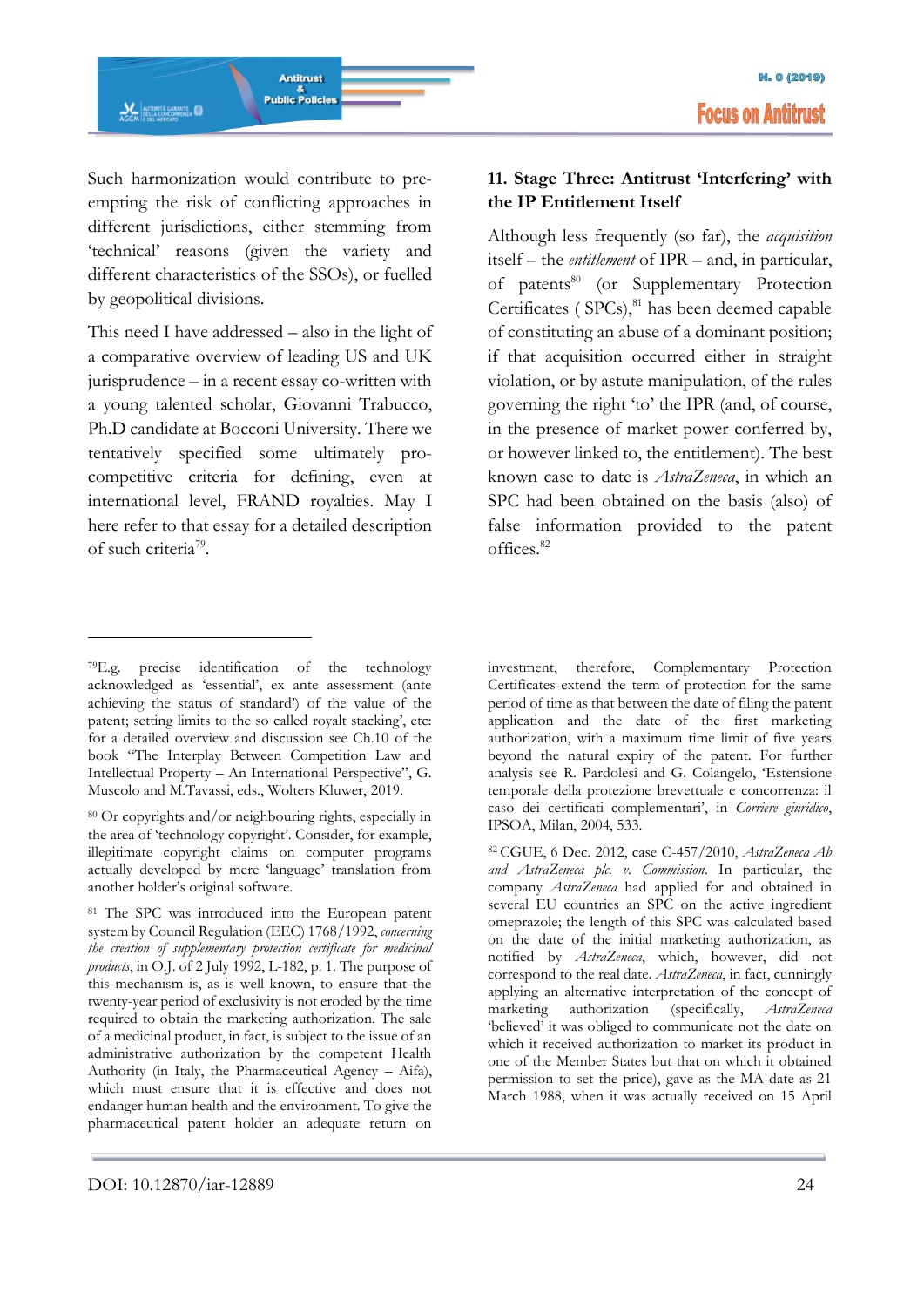Such harmonization would contribute to preempting the risk of conflicting approaches in different jurisdictions, either stemming from 'technical' reasons (given the variety and different characteristics of the SSOs), or fuelled by geopolitical divisions.

This need I have addressed – also in the light of a comparative overview of leading US and UK jurisprudence – in a recent essay co-written with a young talented scholar, Giovanni Trabucco, Ph.D candidate at Bocconi University. There we tentatively specified some ultimately procompetitive criteria for defining, even at international level, FRAND royalties. May I here refer to that essay for a detailed description of such criteria<sup>79</sup>.

# **11. Stage Three: Antitrust 'Interfering' with the IP Entitlement Itself**

Although less frequently (so far), the *acquisition*  itself – the *entitlement* of IPR – and, in particular, of patents<sup>80</sup> (or Supplementary Protection Certificates ( $SPCs$ ), $81$  has been deemed capable of constituting an abuse of a dominant position; if that acquisition occurred either in straight violation, or by astute manipulation, of the rules governing the right 'to' the IPR (and, of course, in the presence of market power conferred by, or however linked to, the entitlement). The best known case to date is *AstraZeneca*, in which an SPC had been obtained on the basis (also) of false information provided to the patent offices.<sup>82</sup>

-

investment, therefore, Complementary Protection Certificates extend the term of protection for the same period of time as that between the date of filing the patent application and the date of the first marketing authorization, with a maximum time limit of five years beyond the natural expiry of the patent. For further analysis see R. Pardolesi and G. Colangelo, 'Estensione temporale della protezione brevettuale e concorrenza: il caso dei certificati complementari', in *Corriere giuridico*, IPSOA, Milan, 2004, 533.

<sup>79</sup>E.g. precise identification of the technology acknowledged as 'essential', ex ante assessment (ante achieving the status of standard') of the value of the patent; setting limits to the so called royalt stacking', etc: for a detailed overview and discussion see Ch.10 of the book "The Interplay Between Competition Law and Intellectual Property – An International Perspective", G. Muscolo and M.Tavassi, eds., Wolters Kluwer, 2019.

<sup>80</sup> Or copyrights and/or neighbouring rights, especially in the area of 'technology copyright'. Consider, for example, illegitimate copyright claims on computer programs actually developed by mere 'language' translation from another holder's original software.

<sup>&</sup>lt;sup>81</sup> The SPC was introduced into the European patent system by Council Regulation (EEC) 1768/1992, *concerning the creation of supplementary protection certificate for medicinal products*, in O.J. of 2 July 1992, L-182, p. 1. The purpose of this mechanism is, as is well known, to ensure that the twenty-year period of exclusivity is not eroded by the time required to obtain the marketing authorization. The sale of a medicinal product, in fact, is subject to the issue of an administrative authorization by the competent Health Authority (in Italy, the Pharmaceutical Agency *–* Aifa), which must ensure that it is effective and does not endanger human health and the environment. To give the pharmaceutical patent holder an adequate return on

<sup>82</sup> CGUE, 6 Dec. 2012, case C-457/2010, *AstraZeneca Ab and AstraZeneca plc. v. Commission*. In particular, the company *AstraZeneca* had applied for and obtained in several EU countries an SPC on the active ingredient omeprazole; the length of this SPC was calculated based on the date of the initial marketing authorization, as notified by *AstraZeneca*, which, however, did not correspond to the real date. *AstraZeneca*, in fact, cunningly applying an alternative interpretation of the concept of marketing authorization (specifically, *AstraZeneca* 'believed' it was obliged to communicate not the date on which it received authorization to market its product in one of the Member States but that on which it obtained permission to set the price), gave as the MA date as 21 March 1988, when it was actually received on 15 April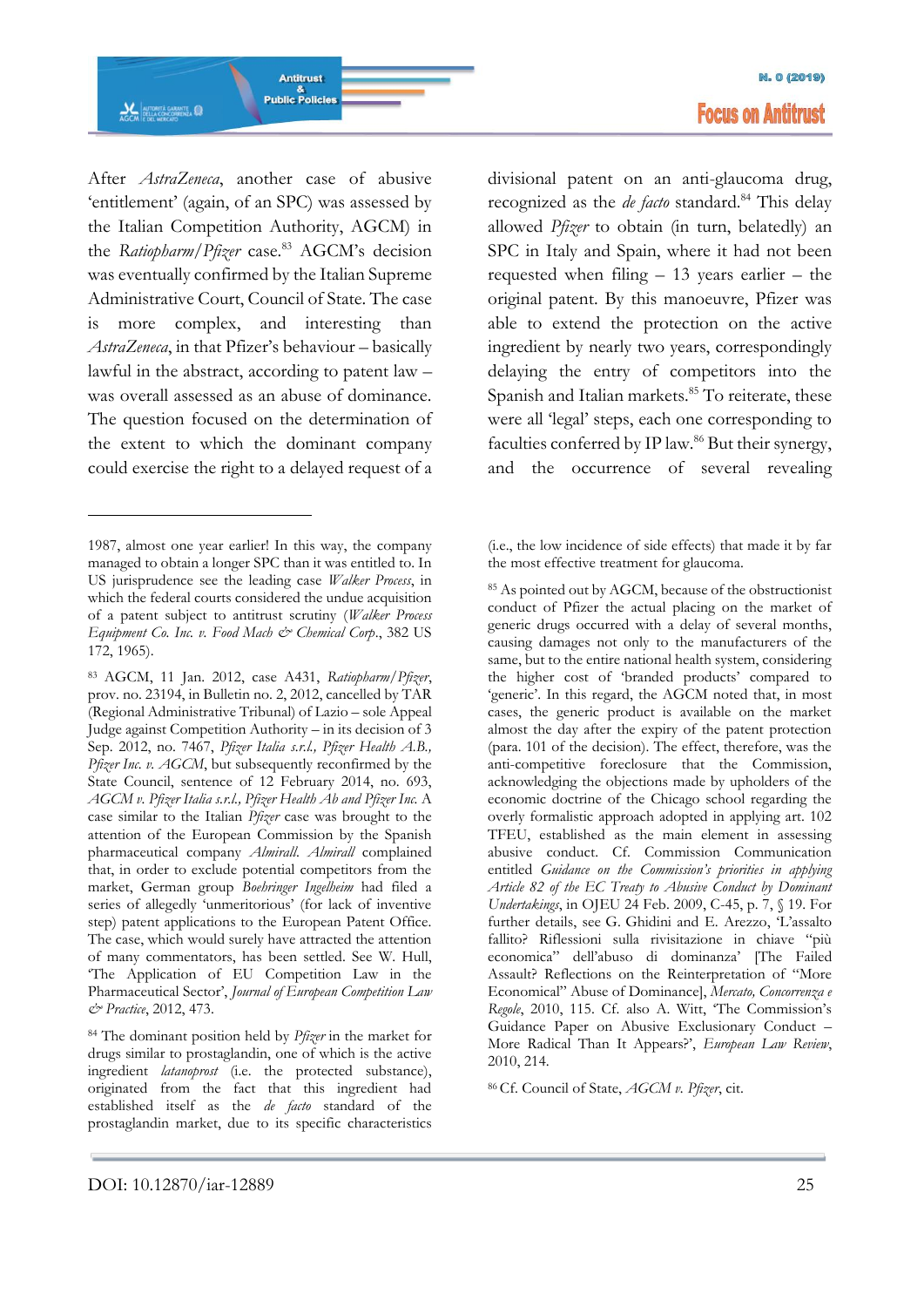

After *AstraZeneca*, another case of abusive 'entitlement' (again, of an SPC) was assessed by the Italian Competition Authority, AGCM) in the *Ratiopharm*/*Pfizer* case.<sup>83</sup> AGCM's decision was eventually confirmed by the Italian Supreme Administrative Court, Council of State. The case is more complex, and interesting than *AstraZeneca*, in that Pfizer's behaviour – basically lawful in the abstract, according to patent law – was overall assessed as an abuse of dominance. The question focused on the determination of the extent to which the dominant company could exercise the right to a delayed request of a

-

<sup>83</sup> AGCM, 11 Jan. 2012, case A431, *Ratiopharm*/*Pfizer*, prov. no. 23194, in Bulletin no. 2, 2012, cancelled by TAR (Regional Administrative Tribunal) of Lazio – sole Appeal Judge against Competition Authority – in its decision of 3 Sep. 2012, no. 7467, *Pfizer Italia s.r.l., Pfizer Health A.B., Pfizer Inc. v. AGCM*, but subsequently reconfirmed by the State Council, sentence of 12 February 2014, no. 693, *AGCM v. Pfizer Italia s.r.l., Pfizer Health Ab and Pfizer Inc.* A case similar to the Italian *Pfizer* case was brought to the attention of the European Commission by the Spanish pharmaceutical company *Almirall*. *Almirall* complained that, in order to exclude potential competitors from the market, German group *Boehringer Ingelheim* had filed a series of allegedly 'unmeritorious' (for lack of inventive step) patent applications to the European Patent Office. The case, which would surely have attracted the attention of many commentators, has been settled. See W. Hull, 'The Application of EU Competition Law in the Pharmaceutical Sector', *Journal of European Competition Law & Practice*, 2012, 473.

<sup>84</sup> The dominant position held by *Pfizer* in the market for drugs similar to prostaglandin, one of which is the active ingredient *latanoprost* (i.e. the protected substance), originated from the fact that this ingredient had established itself as the *de facto* standard of the prostaglandin market, due to its specific characteristics divisional patent on an anti-glaucoma drug, recognized as the *de facto* standard.<sup>84</sup> This delay allowed *Pfizer* to obtain (in turn, belatedly) an SPC in Italy and Spain, where it had not been requested when filing – 13 years earlier – the original patent. By this manoeuvre, Pfizer was able to extend the protection on the active ingredient by nearly two years, correspondingly delaying the entry of competitors into the Spanish and Italian markets.<sup>85</sup> To reiterate, these were all 'legal' steps, each one corresponding to faculties conferred by IP law.<sup>86</sup> But their synergy, and the occurrence of several revealing

<sup>86</sup> Cf. Council of State, *AGCM v. Pfizer*, cit.

<sup>1987,</sup> almost one year earlier! In this way, the company managed to obtain a longer SPC than it was entitled to. In US jurisprudence see the leading case *Walker Process*, in which the federal courts considered the undue acquisition of a patent subject to antitrust scrutiny (*Walker Process Equipment Co. Inc. v. Food Mach & Chemical Corp*., 382 US 172, 1965).

<sup>(</sup>i.e., the low incidence of side effects) that made it by far the most effective treatment for glaucoma.

<sup>85</sup> As pointed out by AGCM, because of the obstructionist conduct of Pfizer the actual placing on the market of generic drugs occurred with a delay of several months, causing damages not only to the manufacturers of the same, but to the entire national health system, considering the higher cost of 'branded products' compared to 'generic'. In this regard, the AGCM noted that, in most cases, the generic product is available on the market almost the day after the expiry of the patent protection (para. 101 of the decision). The effect, therefore, was the anti-competitive foreclosure that the Commission, acknowledging the objections made by upholders of the economic doctrine of the Chicago school regarding the overly formalistic approach adopted in applying art. 102 TFEU, established as the main element in assessing abusive conduct. Cf. Commission Communication entitled *Guidance on the Commission's priorities in applying Article 82 of the EC Treaty to Abusive Conduct by Dominant Undertakings*, in OJEU 24 Feb. 2009, C-45, p. 7, § 19. For further details, see G. Ghidini and E. Arezzo, 'L'assalto fallito? Riflessioni sulla rivisitazione in chiave "più economica" dell'abuso di dominanza' [The Failed Assault? Reflections on the Reinterpretation of "More Economical" Abuse of Dominance], *Mercato, Concorrenza e Regole*, 2010, 115. Cf. also A. Witt, 'The Commission's Guidance Paper on Abusive Exclusionary Conduct – More Radical Than It Appears?', *European Law Review*, 2010, 214.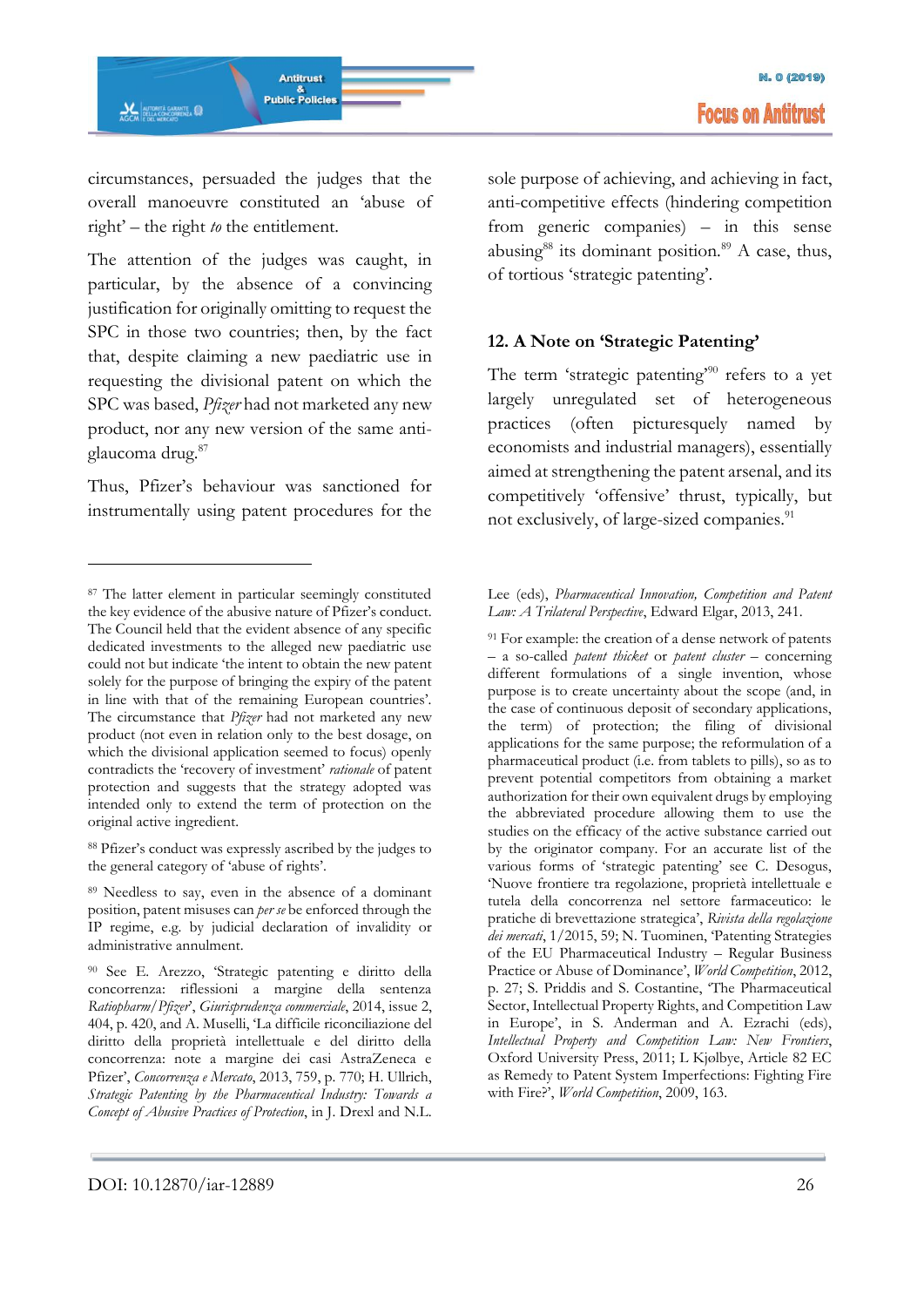circumstances, persuaded the judges that the overall manoeuvre constituted an 'abuse of right' – the right *to* the entitlement.

The attention of the judges was caught, in particular, by the absence of a convincing justification for originally omitting to request the SPC in those two countries; then, by the fact that, despite claiming a new paediatric use in requesting the divisional patent on which the SPC was based, *Pfizer* had not marketed any new product, nor any new version of the same antiglaucoma drug.<sup>87</sup>

Thus, Pfizer's behaviour was sanctioned for instrumentally using patent procedures for the

-

<sup>88</sup> Pfizer's conduct was expressly ascribed by the judges to the general category of 'abuse of rights'.

sole purpose of achieving, and achieving in fact, anti-competitive effects (hindering competition from generic companies) – in this sense abusing $88$  its dominant position. $89$  A case, thus, of tortious 'strategic patenting'.

# **12. A Note on 'Strategic Patenting'**

The term 'strategic patenting $290$  refers to a yet largely unregulated set of heterogeneous practices (often picturesquely named by economists and industrial managers), essentially aimed at strengthening the patent arsenal, and its competitively 'offensive' thrust, typically, but not exclusively, of large-sized companies.<sup>91</sup>

#### Lee (eds), *Pharmaceutical Innovation, Competition and Patent Law: A Trilateral Perspective*, Edward Elgar, 2013, 241.

<sup>91</sup> For example: the creation of a dense network of patents – a so-called *patent thicket* or *patent cluster –* concerning different formulations of a single invention, whose purpose is to create uncertainty about the scope (and, in the case of continuous deposit of secondary applications, the term) of protection; the filing of divisional applications for the same purpose; the reformulation of a pharmaceutical product (i.e. from tablets to pills), so as to prevent potential competitors from obtaining a market authorization for their own equivalent drugs by employing the abbreviated procedure allowing them to use the studies on the efficacy of the active substance carried out by the originator company. For an accurate list of the various forms of 'strategic patenting' see C. Desogus, 'Nuove frontiere tra regolazione, proprietà intellettuale e tutela della concorrenza nel settore farmaceutico: le pratiche di brevettazione strategica', *Rivista della regolazione dei mercati*, 1/2015, 59; N. Tuominen, 'Patenting Strategies of the EU Pharmaceutical Industry – Regular Business Practice or Abuse of Dominance', *World Competition*, 2012, p. 27; S. Priddis and S. Costantine, 'The Pharmaceutical Sector, Intellectual Property Rights, and Competition Law in Europe', in S. Anderman and A. Ezrachi (eds), *Intellectual Property and Competition Law: New Frontiers*, Oxford University Press, 2011; L Kjølbye, Article 82 EC as Remedy to Patent System Imperfections: Fighting Fire with Fire?', *World Competition*, 2009, 163.

<sup>87</sup> The latter element in particular seemingly constituted the key evidence of the abusive nature of Pfizer's conduct. The Council held that the evident absence of any specific dedicated investments to the alleged new paediatric use could not but indicate 'the intent to obtain the new patent solely for the purpose of bringing the expiry of the patent in line with that of the remaining European countries'. The circumstance that *Pfizer* had not marketed any new product (not even in relation only to the best dosage, on which the divisional application seemed to focus) openly contradicts the 'recovery of investment' *rationale* of patent protection and suggests that the strategy adopted was intended only to extend the term of protection on the original active ingredient.

<sup>89</sup> Needless to say, even in the absence of a dominant position, patent misuses can *per se* be enforced through the IP regime, e.g. by judicial declaration of invalidity or administrative annulment.

<sup>90</sup> See E. Arezzo, 'Strategic patenting e diritto della concorrenza: riflessioni a margine della sentenza *Ratiopharm/Pfizer*', *Giurisprudenza commerciale*, 2014, issue 2, 404, p. 420, and A. Muselli, 'La difficile riconciliazione del diritto della proprietà intellettuale e del diritto della concorrenza: note a margine dei casi AstraZeneca e Pfizer', *Concorrenza e Mercato*, 2013, 759, p. 770; H. Ullrich, *Strategic Patenting by the Pharmaceutical Industry: Towards a Concept of Abusive Practices of Protection*, in J. Drexl and N.L.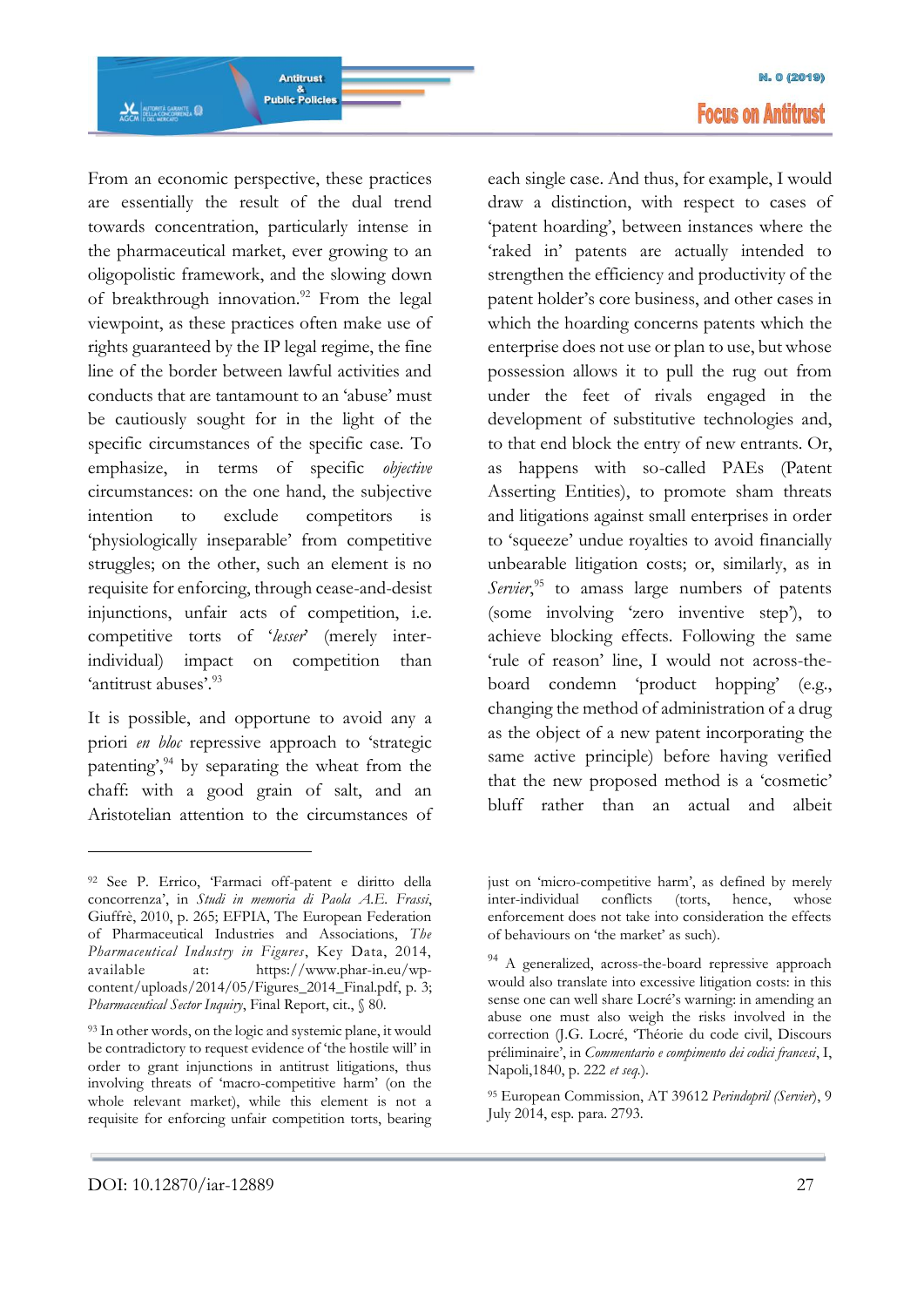From an economic perspective, these practices are essentially the result of the dual trend towards concentration, particularly intense in the pharmaceutical market, ever growing to an oligopolistic framework, and the slowing down of breakthrough innovation.<sup>92</sup> From the legal viewpoint, as these practices often make use of rights guaranteed by the IP legal regime, the fine line of the border between lawful activities and conducts that are tantamount to an 'abuse' must be cautiously sought for in the light of the specific circumstances of the specific case. To emphasize, in terms of specific *objective* circumstances: on the one hand, the subjective intention to exclude competitors is 'physiologically inseparable' from competitive struggles; on the other, such an element is no requisite for enforcing, through cease-and-desist injunctions, unfair acts of competition, i.e. competitive torts of '*lesser*' (merely interindividual) impact on competition than 'antitrust abuses'.<sup>93</sup>

Antitrust

&<br>Public Policies

**AGCM**<br>AGCM E DEL MERCATO

It is possible, and opportune to avoid any a priori *en bloc* repressive approach to 'strategic patenting', $94$  by separating the wheat from the chaff: with a good grain of salt, and an Aristotelian attention to the circumstances of each single case. And thus, for example, I would draw a distinction, with respect to cases of 'patent hoarding', between instances where the 'raked in' patents are actually intended to strengthen the efficiency and productivity of the patent holder's core business, and other cases in which the hoarding concerns patents which the enterprise does not use or plan to use, but whose possession allows it to pull the rug out from under the feet of rivals engaged in the development of substitutive technologies and, to that end block the entry of new entrants. Or, as happens with so-called PAEs (Patent Asserting Entities), to promote sham threats and litigations against small enterprises in order to 'squeeze' undue royalties to avoid financially unbearable litigation costs; or, similarly, as in Servier,<sup>95</sup> to amass large numbers of patents (some involving 'zero inventive step'), to achieve blocking effects. Following the same 'rule of reason' line, I would not across-theboard condemn 'product hopping' (e.g., changing the method of administration of a drug as the object of a new patent incorporating the same active principle) before having verified that the new proposed method is a 'cosmetic' bluff rather than an actual and albeit

<sup>92</sup> See P. Errico, 'Farmaci off-patent e diritto della concorrenza', in *Studi in memoria di Paola A.E. Frassi*, Giuffrè, 2010, p. 265; EFPIA, The European Federation of Pharmaceutical Industries and Associations, *The Pharmaceutical Industry in Figures*, Key Data, 2014, available at: https://www.phar-in.eu/wpcontent/uploads/2014/05/Figures\_2014\_Final.pdf, p. 3; *Pharmaceutical Sector Inquiry*, Final Report, cit., § 80.

<sup>&</sup>lt;sup>93</sup> In other words, on the logic and systemic plane, it would be contradictory to request evidence of 'the hostile will' in order to grant injunctions in antitrust litigations, thus involving threats of 'macro-competitive harm' (on the whole relevant market), while this element is not a requisite for enforcing unfair competition torts, bearing

just on 'micro-competitive harm', as defined by merely inter-individual conflicts (torts, hence, whose enforcement does not take into consideration the effects of behaviours on 'the market' as such).

<sup>&</sup>lt;sup>94</sup> A generalized, across-the-board repressive approach would also translate into excessive litigation costs: in this sense one can well share Locré's warning: in amending an abuse one must also weigh the risks involved in the correction (J.G. Locré, 'Théorie du code civil, Discours préliminaire', in *Commentario e compimento dei codici francesi*, I, Napoli,1840, p. 222 *et seq.*).

<sup>95</sup> European Commission, AT 39612 *Perindopril (Servier*), 9 July 2014, esp. para. 2793.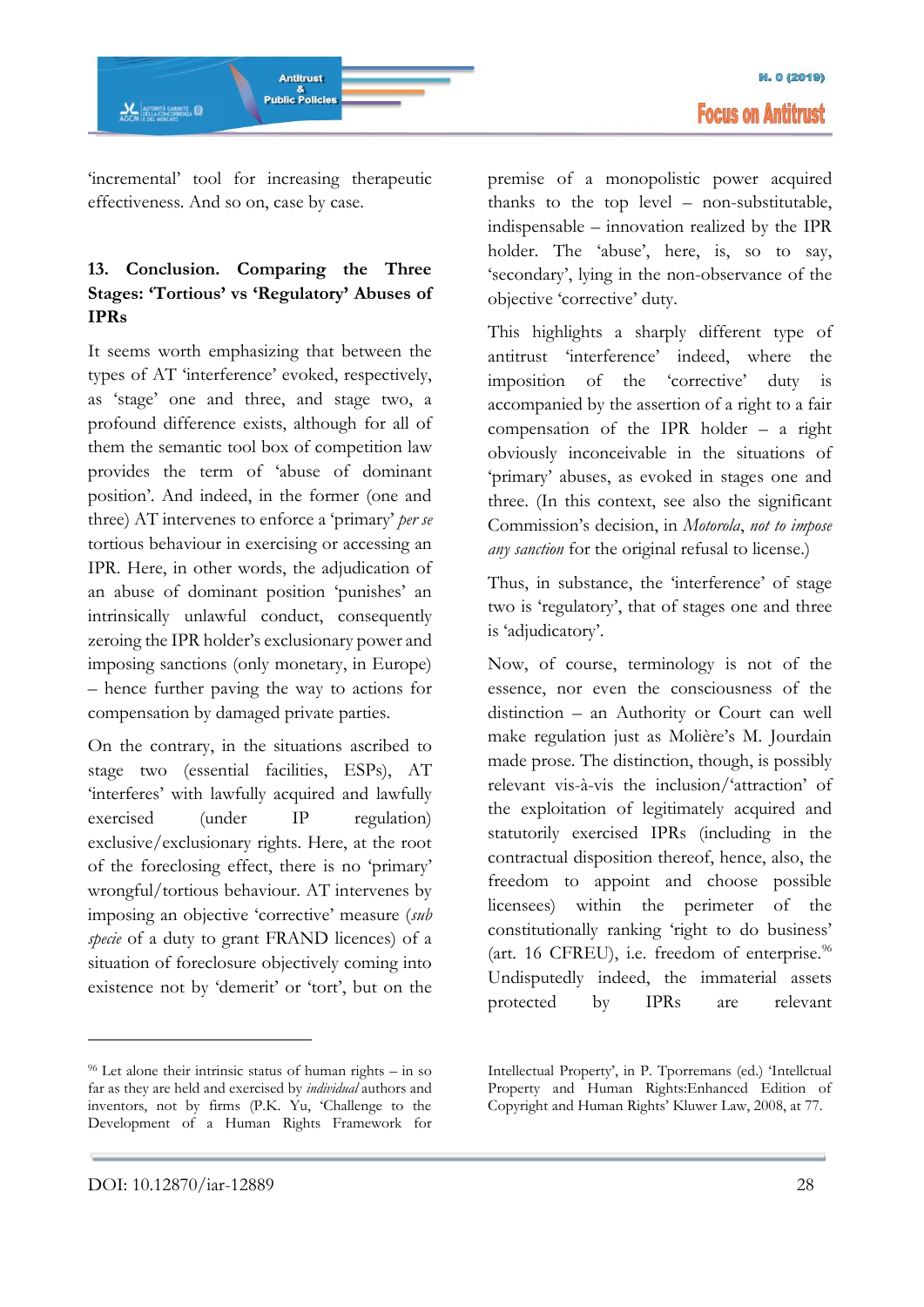'incremental' tool for increasing therapeutic effectiveness. And so on, case by case.

# **13. Conclusion. Comparing the Three Stages: 'Tortious' vs 'Regulatory' Abuses of IPRs**

It seems worth emphasizing that between the types of AT 'interference' evoked, respectively, as 'stage' one and three, and stage two, a profound difference exists, although for all of them the semantic tool box of competition law provides the term of 'abuse of dominant position'. And indeed, in the former (one and three) AT intervenes to enforce a 'primary' *per se* tortious behaviour in exercising or accessing an IPR. Here, in other words, the adjudication of an abuse of dominant position 'punishes' an intrinsically unlawful conduct, consequently zeroing the IPR holder's exclusionary power and imposing sanctions (only monetary, in Europe) – hence further paving the way to actions for compensation by damaged private parties.

On the contrary, in the situations ascribed to stage two (essential facilities, ESPs), AT 'interferes' with lawfully acquired and lawfully exercised (under IP regulation) exclusive/exclusionary rights. Here, at the root of the foreclosing effect, there is no 'primary' wrongful/tortious behaviour. AT intervenes by imposing an objective 'corrective' measure (*sub specie* of a duty to grant FRAND licences) of a situation of foreclosure objectively coming into existence not by 'demerit' or 'tort', but on the

premise of a monopolistic power acquired thanks to the top level – non-substitutable, indispensable – innovation realized by the IPR holder. The 'abuse', here, is, so to say, 'secondary', lying in the non-observance of the objective 'corrective' duty.

This highlights a sharply different type of antitrust 'interference' indeed, where the imposition of the 'corrective' duty is accompanied by the assertion of a right to a fair compensation of the IPR holder – a right obviously inconceivable in the situations of 'primary' abuses, as evoked in stages one and three. (In this context, see also the significant Commission's decision, in *Motorola*, *not to impose any sanction* for the original refusal to license.)

Thus, in substance, the 'interference' of stage two is 'regulatory', that of stages one and three is 'adjudicatory'.

Now, of course, terminology is not of the essence, nor even the consciousness of the distinction – an Authority or Court can well make regulation just as Molière's M. Jourdain made prose. The distinction, though, is possibly relevant vis-à-vis the inclusion/'attraction' of the exploitation of legitimately acquired and statutorily exercised IPRs (including in the contractual disposition thereof, hence, also, the freedom to appoint and choose possible licensees) within the perimeter of the constitutionally ranking 'right to do business' (art. 16 CFREU), i.e. freedom of enterprise. $96$ Undisputedly indeed, the immaterial assets protected by IPRs are relevant

<sup>96</sup> Let alone their intrinsic status of human rights – in so far as they are held and exercised by *individual* authors and inventors, not by firms (P.K. Yu, 'Challenge to the Development of a Human Rights Framework for

Intellectual Property', in P. Tporremans (ed.) 'Intellctual Property and Human Rights:Enhanced Edition of Copyright and Human Rights' Kluwer Law, 2008, at 77.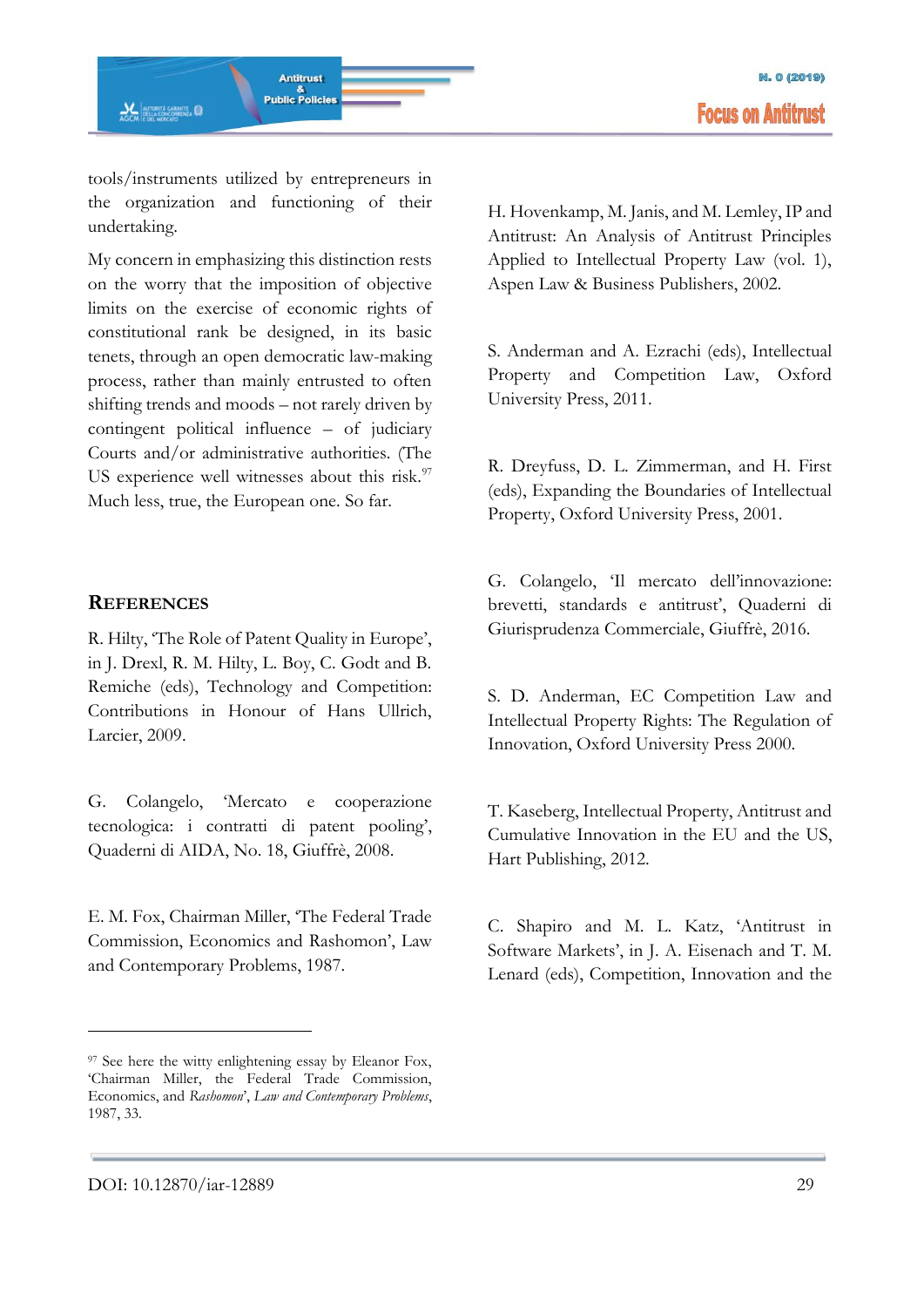tools/instruments utilized by entrepreneurs in the organization and functioning of their undertaking.

My concern in emphasizing this distinction rests on the worry that the imposition of objective limits on the exercise of economic rights of constitutional rank be designed, in its basic tenets, through an open democratic law-making process, rather than mainly entrusted to often shifting trends and moods – not rarely driven by contingent political influence – of judiciary Courts and/or administrative authorities. (The US experience well witnesses about this risk.<sup>97</sup> Much less, true, the European one. So far.

### **REFERENCES**

R. Hilty, 'The Role of Patent Quality in Europe', in J. Drexl, R. M. Hilty, L. Boy, C. Godt and B. Remiche (eds), Technology and Competition: Contributions in Honour of Hans Ullrich, Larcier, 2009.

G. Colangelo, 'Mercato e cooperazione tecnologica: i contratti di patent pooling', Quaderni di AIDA, No. 18, Giuffrè, 2008.

E. M. Fox, Chairman Miller, 'The Federal Trade Commission, Economics and Rashomon', Law and Contemporary Problems, 1987.

H. Hovenkamp, M. Janis, and M. Lemley, IP and Antitrust: An Analysis of Antitrust Principles Applied to Intellectual Property Law (vol. 1), Aspen Law & Business Publishers, 2002.

S. Anderman and A. Ezrachi (eds), Intellectual Property and Competition Law, Oxford University Press, 2011.

R. Dreyfuss, D. L. Zimmerman, and H. First (eds), Expanding the Boundaries of Intellectual Property, Oxford University Press, 2001.

G. Colangelo, 'Il mercato dell'innovazione: brevetti, standards e antitrust', Quaderni di Giurisprudenza Commerciale, Giuffrè, 2016.

S. D. Anderman, EC Competition Law and Intellectual Property Rights: The Regulation of Innovation, Oxford University Press 2000.

T. Kaseberg, Intellectual Property, Antitrust and Cumulative Innovation in the EU and the US, Hart Publishing, 2012.

C. Shapiro and M. L. Katz, 'Antitrust in Software Markets', in J. A. Eisenach and T. M. Lenard (eds), Competition, Innovation and the

<sup>97</sup> See here the witty enlightening essay by Eleanor Fox, 'Chairman Miller, the Federal Trade Commission, Economics, and *Rashomon*', *Law and Contemporary Problems*, 1987, 33.